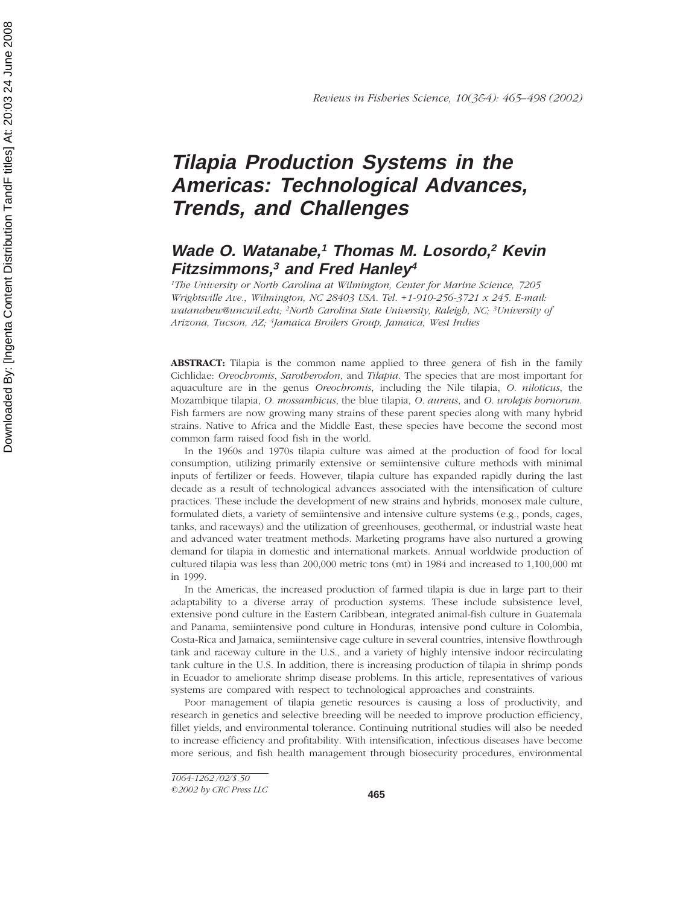# **Tilapia Production Systems in the Americas: Technological Advances, Trends, and Challenges**

# **Wade O. Watanabe,<sup>1</sup> Thomas M. Losordo,<sup>2</sup> Kevin Fitzsimmons,<sup>3</sup> and Fred Hanley<sup>4</sup>**

*1The University or North Carolina at Wilmington, Center for Marine Science, 7205 Wrightsville Ave., Wilmington, NC 28403 USA. Tel. +1-910-256-3721 x 245. E-mail: watanabew@uncwil.edu; 2North Carolina State University, Raleigh, NC; 3University of Arizona, Tucson, AZ; 4Jamaica Broilers Group, Jamaica, West Indies*

**ABSTRACT:** Tilapia is the common name applied to three genera of fish in the family Cichlidae: *Oreochromis*, *Sarotherodon*, and *Tilapia*. The species that are most important for aquaculture are in the genus *Oreochromis*, including the Nile tilapia, *O. niloticus*, the Mozambique tilapia, *O. mossambicus*, the blue tilapia, *O. aureus*, and *O. urolepis hornorum*. Fish farmers are now growing many strains of these parent species along with many hybrid strains. Native to Africa and the Middle East, these species have become the second most common farm raised food fish in the world.

In the 1960s and 1970s tilapia culture was aimed at the production of food for local consumption, utilizing primarily extensive or semiintensive culture methods with minimal inputs of fertilizer or feeds. However, tilapia culture has expanded rapidly during the last decade as a result of technological advances associated with the intensification of culture practices. These include the development of new strains and hybrids, monosex male culture, formulated diets, a variety of semiintensive and intensive culture systems (e.g., ponds, cages, tanks, and raceways) and the utilization of greenhouses, geothermal, or industrial waste heat and advanced water treatment methods. Marketing programs have also nurtured a growing demand for tilapia in domestic and international markets. Annual worldwide production of cultured tilapia was less than 200,000 metric tons (mt) in 1984 and increased to 1,100,000 mt in 1999.

In the Americas, the increased production of farmed tilapia is due in large part to their adaptability to a diverse array of production systems. These include subsistence level, extensive pond culture in the Eastern Caribbean, integrated animal-fish culture in Guatemala and Panama, semiintensive pond culture in Honduras, intensive pond culture in Colombia, Costa-Rica and Jamaica, semiintensive cage culture in several countries, intensive flowthrough tank and raceway culture in the U.S., and a variety of highly intensive indoor recirculating tank culture in the U.S. In addition, there is increasing production of tilapia in shrimp ponds in Ecuador to ameliorate shrimp disease problems. In this article, representatives of various systems are compared with respect to technological approaches and constraints.

Poor management of tilapia genetic resources is causing a loss of productivity, and research in genetics and selective breeding will be needed to improve production efficiency, fillet yields, and environmental tolerance. Continuing nutritional studies will also be needed to increase efficiency and profitability. With intensification, infectious diseases have become more serious, and fish health management through biosecurity procedures, environmental

*<sup>1064-1262 /02/\$.50</sup>*

*<sup>©2002</sup> by CRC Press LLC*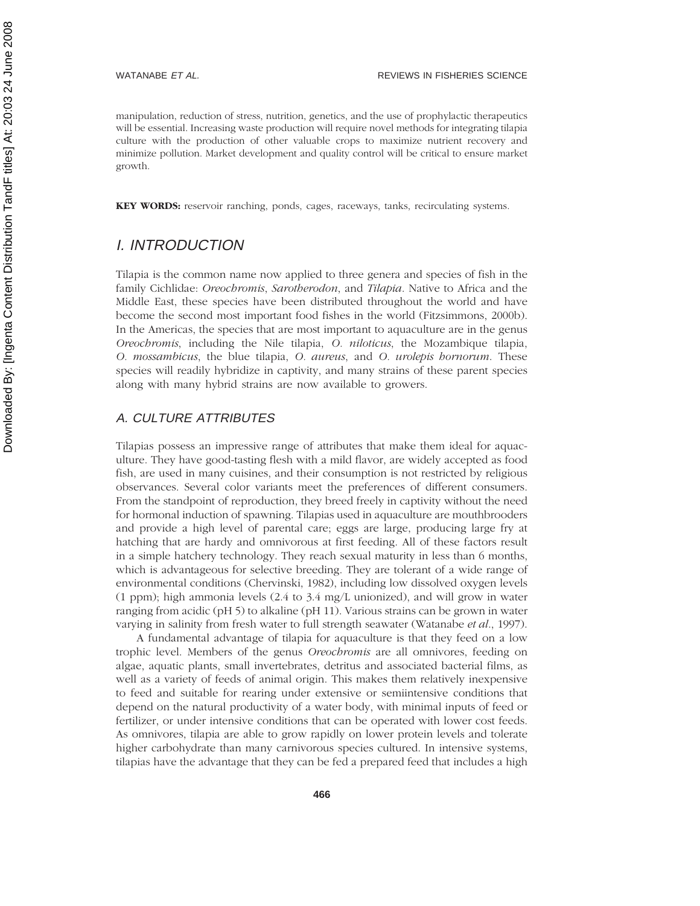manipulation, reduction of stress, nutrition, genetics, and the use of prophylactic therapeutics will be essential. Increasing waste production will require novel methods for integrating tilapia culture with the production of other valuable crops to maximize nutrient recovery and minimize pollution. Market development and quality control will be critical to ensure market growth.

**KEY WORDS:** reservoir ranching, ponds, cages, raceways, tanks, recirculating systems.

# I. INTRODUCTION

Tilapia is the common name now applied to three genera and species of fish in the family Cichlidae: *Oreochromis*, *Sarotherodon*, and *Tilapia*. Native to Africa and the Middle East, these species have been distributed throughout the world and have become the second most important food fishes in the world (Fitzsimmons, 2000b). In the Americas, the species that are most important to aquaculture are in the genus *Oreochromis*, including the Nile tilapia, *O. niloticus*, the Mozambique tilapia, *O. mossambicus*, the blue tilapia, *O. aureus*, and *O. urolepis hornorum*. These species will readily hybridize in captivity, and many strains of these parent species along with many hybrid strains are now available to growers.

#### A. CULTURE ATTRIBUTES

Tilapias possess an impressive range of attributes that make them ideal for aquaculture. They have good-tasting flesh with a mild flavor, are widely accepted as food fish, are used in many cuisines, and their consumption is not restricted by religious observances. Several color variants meet the preferences of different consumers. From the standpoint of reproduction, they breed freely in captivity without the need for hormonal induction of spawning. Tilapias used in aquaculture are mouthbrooders and provide a high level of parental care; eggs are large, producing large fry at hatching that are hardy and omnivorous at first feeding. All of these factors result in a simple hatchery technology. They reach sexual maturity in less than 6 months, which is advantageous for selective breeding. They are tolerant of a wide range of environmental conditions (Chervinski, 1982), including low dissolved oxygen levels (1 ppm); high ammonia levels (2.4 to 3.4 mg/L unionized), and will grow in water ranging from acidic (pH 5) to alkaline (pH 11). Various strains can be grown in water varying in salinity from fresh water to full strength seawater (Watanabe *et al*., 1997).

A fundamental advantage of tilapia for aquaculture is that they feed on a low trophic level. Members of the genus *Oreochromis* are all omnivores, feeding on algae, aquatic plants, small invertebrates, detritus and associated bacterial films, as well as a variety of feeds of animal origin. This makes them relatively inexpensive to feed and suitable for rearing under extensive or semiintensive conditions that depend on the natural productivity of a water body, with minimal inputs of feed or fertilizer, or under intensive conditions that can be operated with lower cost feeds. As omnivores, tilapia are able to grow rapidly on lower protein levels and tolerate higher carbohydrate than many carnivorous species cultured. In intensive systems, tilapias have the advantage that they can be fed a prepared feed that includes a high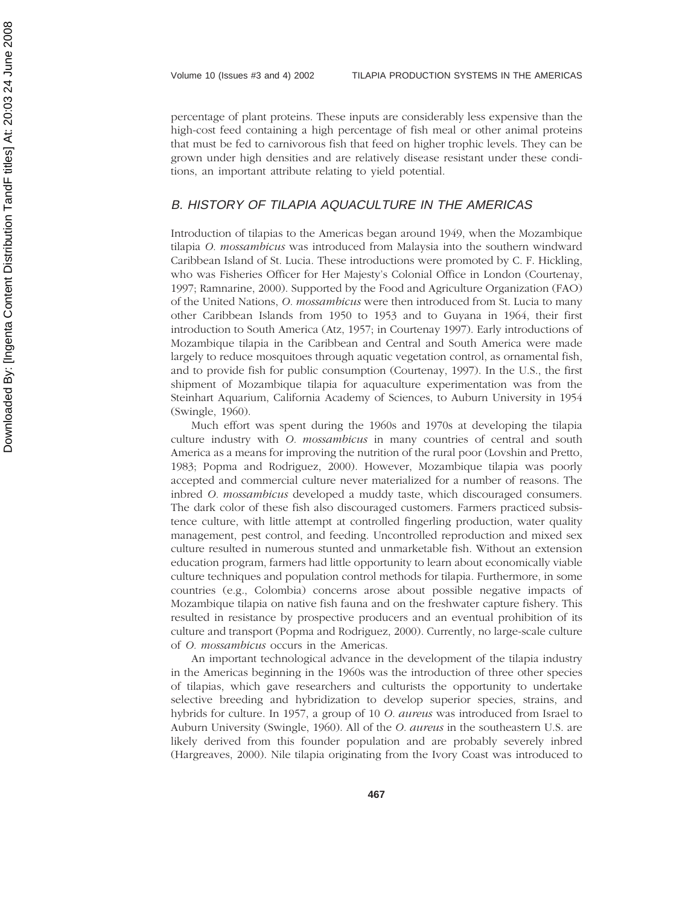percentage of plant proteins. These inputs are considerably less expensive than the high-cost feed containing a high percentage of fish meal or other animal proteins that must be fed to carnivorous fish that feed on higher trophic levels. They can be grown under high densities and are relatively disease resistant under these conditions, an important attribute relating to yield potential.

#### B. HISTORY OF TILAPIA AQUACULTURE IN THE AMERICAS

Introduction of tilapias to the Americas began around 1949, when the Mozambique tilapia *O. mossambicus* was introduced from Malaysia into the southern windward Caribbean Island of St. Lucia. These introductions were promoted by C. F. Hickling, who was Fisheries Officer for Her Majesty's Colonial Office in London (Courtenay, 1997; Ramnarine, 2000). Supported by the Food and Agriculture Organization (FAO) of the United Nations, *O. mossambicus* were then introduced from St. Lucia to many other Caribbean Islands from 1950 to 1953 and to Guyana in 1964, their first introduction to South America (Atz, 1957; in Courtenay 1997). Early introductions of Mozambique tilapia in the Caribbean and Central and South America were made largely to reduce mosquitoes through aquatic vegetation control, as ornamental fish, and to provide fish for public consumption (Courtenay, 1997). In the U.S., the first shipment of Mozambique tilapia for aquaculture experimentation was from the Steinhart Aquarium, California Academy of Sciences, to Auburn University in 1954 (Swingle, 1960).

Much effort was spent during the 1960s and 1970s at developing the tilapia culture industry with *O. mossambicus* in many countries of central and south America as a means for improving the nutrition of the rural poor (Lovshin and Pretto, 1983; Popma and Rodriguez, 2000). However, Mozambique tilapia was poorly accepted and commercial culture never materialized for a number of reasons. The inbred *O. mossambicus* developed a muddy taste, which discouraged consumers. The dark color of these fish also discouraged customers. Farmers practiced subsistence culture, with little attempt at controlled fingerling production, water quality management, pest control, and feeding. Uncontrolled reproduction and mixed sex culture resulted in numerous stunted and unmarketable fish. Without an extension education program, farmers had little opportunity to learn about economically viable culture techniques and population control methods for tilapia. Furthermore, in some countries (e.g., Colombia) concerns arose about possible negative impacts of Mozambique tilapia on native fish fauna and on the freshwater capture fishery. This resulted in resistance by prospective producers and an eventual prohibition of its culture and transport (Popma and Rodriguez, 2000). Currently, no large-scale culture of *O. mossambicus* occurs in the Americas.

An important technological advance in the development of the tilapia industry in the Americas beginning in the 1960s was the introduction of three other species of tilapias, which gave researchers and culturists the opportunity to undertake selective breeding and hybridization to develop superior species, strains, and hybrids for culture. In 1957, a group of 10 *O. aureus* was introduced from Israel to Auburn University (Swingle, 1960). All of the *O. aureus* in the southeastern U.S. are likely derived from this founder population and are probably severely inbred (Hargreaves, 2000). Nile tilapia originating from the Ivory Coast was introduced to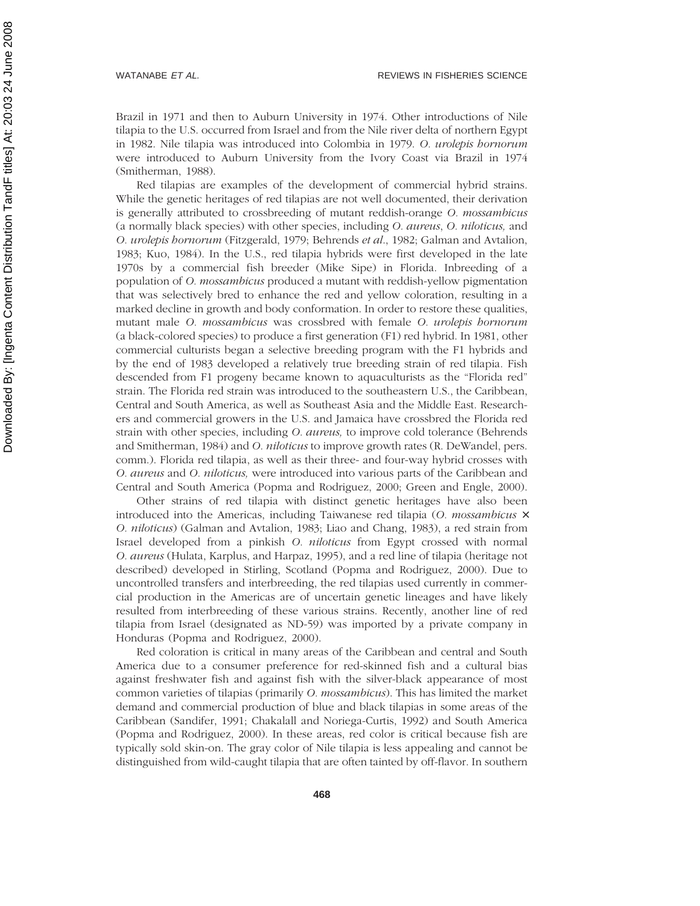Brazil in 1971 and then to Auburn University in 1974. Other introductions of Nile tilapia to the U.S. occurred from Israel and from the Nile river delta of northern Egypt in 1982. Nile tilapia was introduced into Colombia in 1979. *O. urolepis hornorum* were introduced to Auburn University from the Ivory Coast via Brazil in 1974 (Smitherman, 1988).

Red tilapias are examples of the development of commercial hybrid strains. While the genetic heritages of red tilapias are not well documented, their derivation is generally attributed to crossbreeding of mutant reddish-orange *O. mossambicus* (a normally black species) with other species, including *O. aureus*, *O. niloticus,* and *O. urolepis hornorum* (Fitzgerald, 1979; Behrends *et al*., 1982; Galman and Avtalion, 1983; Kuo, 1984). In the U.S., red tilapia hybrids were first developed in the late 1970s by a commercial fish breeder (Mike Sipe) in Florida. Inbreeding of a population of *O. mossambicus* produced a mutant with reddish-yellow pigmentation that was selectively bred to enhance the red and yellow coloration, resulting in a marked decline in growth and body conformation. In order to restore these qualities, mutant male *O. mossambicus* was crossbred with female *O. urolepis hornorum* (a black-colored species) to produce a first generation (F1) red hybrid. In 1981, other commercial culturists began a selective breeding program with the F1 hybrids and by the end of 1983 developed a relatively true breeding strain of red tilapia. Fish descended from F1 progeny became known to aquaculturists as the "Florida red" strain. The Florida red strain was introduced to the southeastern U.S., the Caribbean, Central and South America, as well as Southeast Asia and the Middle East. Researchers and commercial growers in the U.S. and Jamaica have crossbred the Florida red strain with other species, including *O. aureus,* to improve cold tolerance (Behrends and Smitherman, 1984) and *O. niloticus* to improve growth rates (R. DeWandel, pers. comm.). Florida red tilapia, as well as their three- and four-way hybrid crosses with *O. aureus* and *O. niloticus,* were introduced into various parts of the Caribbean and Central and South America (Popma and Rodriguez, 2000; Green and Engle, 2000).

Other strains of red tilapia with distinct genetic heritages have also been introduced into the Americas, including Taiwanese red tilapia (*O. mossambicus* × *O. niloticus*) (Galman and Avtalion, 1983; Liao and Chang, 1983), a red strain from Israel developed from a pinkish *O. niloticus* from Egypt crossed with normal *O. aureus* (Hulata, Karplus, and Harpaz, 1995), and a red line of tilapia (heritage not described) developed in Stirling, Scotland (Popma and Rodriguez, 2000). Due to uncontrolled transfers and interbreeding, the red tilapias used currently in commercial production in the Americas are of uncertain genetic lineages and have likely resulted from interbreeding of these various strains. Recently, another line of red tilapia from Israel (designated as ND-59) was imported by a private company in Honduras (Popma and Rodriguez, 2000).

Red coloration is critical in many areas of the Caribbean and central and South America due to a consumer preference for red-skinned fish and a cultural bias against freshwater fish and against fish with the silver-black appearance of most common varieties of tilapias (primarily *O. mossambicus*). This has limited the market demand and commercial production of blue and black tilapias in some areas of the Caribbean (Sandifer, 1991; Chakalall and Noriega-Curtis, 1992) and South America (Popma and Rodriguez, 2000). In these areas, red color is critical because fish are typically sold skin-on. The gray color of Nile tilapia is less appealing and cannot be distinguished from wild-caught tilapia that are often tainted by off-flavor. In southern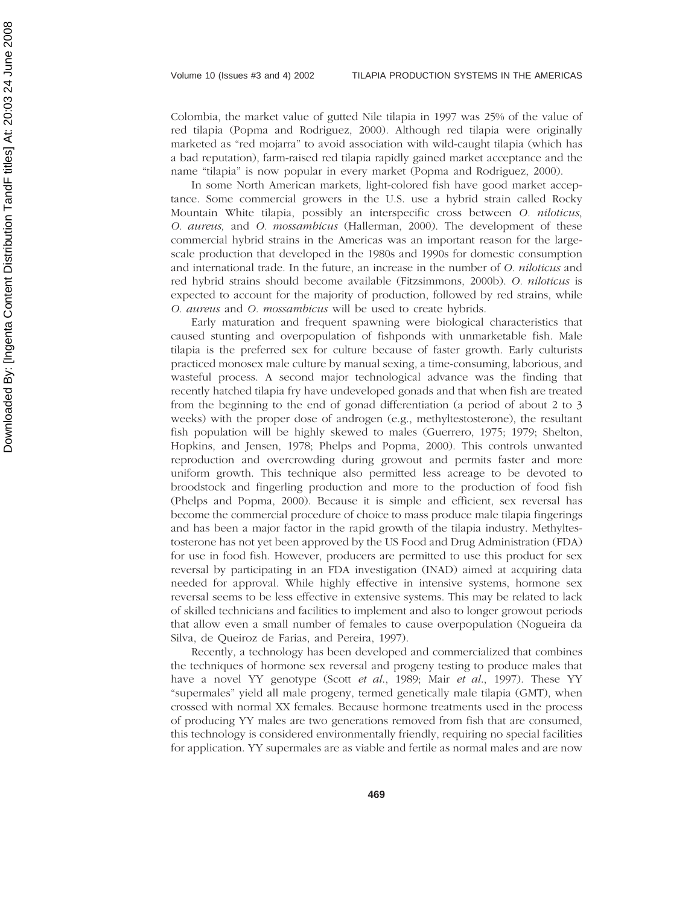Colombia, the market value of gutted Nile tilapia in 1997 was 25% of the value of red tilapia (Popma and Rodriguez, 2000). Although red tilapia were originally marketed as "red mojarra" to avoid association with wild-caught tilapia (which has a bad reputation), farm-raised red tilapia rapidly gained market acceptance and the name "tilapia" is now popular in every market (Popma and Rodriguez, 2000).

In some North American markets, light-colored fish have good market acceptance. Some commercial growers in the U.S. use a hybrid strain called Rocky Mountain White tilapia, possibly an interspecific cross between *O. niloticus*, *O. aureus,* and *O. mossambicus* (Hallerman, 2000). The development of these commercial hybrid strains in the Americas was an important reason for the largescale production that developed in the 1980s and 1990s for domestic consumption and international trade. In the future, an increase in the number of *O. niloticus* and red hybrid strains should become available (Fitzsimmons, 2000b). *O. niloticus* is expected to account for the majority of production, followed by red strains, while *O. aureus* and *O. mossambicus* will be used to create hybrids.

Early maturation and frequent spawning were biological characteristics that caused stunting and overpopulation of fishponds with unmarketable fish. Male tilapia is the preferred sex for culture because of faster growth. Early culturists practiced monosex male culture by manual sexing, a time-consuming, laborious, and wasteful process. A second major technological advance was the finding that recently hatched tilapia fry have undeveloped gonads and that when fish are treated from the beginning to the end of gonad differentiation (a period of about 2 to 3 weeks) with the proper dose of androgen (e.g., methyltestosterone), the resultant fish population will be highly skewed to males (Guerrero, 1975; 1979; Shelton, Hopkins, and Jensen, 1978; Phelps and Popma, 2000). This controls unwanted reproduction and overcrowding during growout and permits faster and more uniform growth. This technique also permitted less acreage to be devoted to broodstock and fingerling production and more to the production of food fish (Phelps and Popma, 2000). Because it is simple and efficient, sex reversal has become the commercial procedure of choice to mass produce male tilapia fingerings and has been a major factor in the rapid growth of the tilapia industry. Methyltestosterone has not yet been approved by the US Food and Drug Administration (FDA) for use in food fish. However, producers are permitted to use this product for sex reversal by participating in an FDA investigation (INAD) aimed at acquiring data needed for approval. While highly effective in intensive systems, hormone sex reversal seems to be less effective in extensive systems. This may be related to lack of skilled technicians and facilities to implement and also to longer growout periods that allow even a small number of females to cause overpopulation (Nogueira da Silva, de Queiroz de Farias, and Pereira, 1997).

Recently, a technology has been developed and commercialized that combines the techniques of hormone sex reversal and progeny testing to produce males that have a novel YY genotype (Scott *et al*., 1989; Mair *et al*., 1997). These YY "supermales" yield all male progeny, termed genetically male tilapia (GMT), when crossed with normal XX females. Because hormone treatments used in the process of producing YY males are two generations removed from fish that are consumed, this technology is considered environmentally friendly, requiring no special facilities for application. YY supermales are as viable and fertile as normal males and are now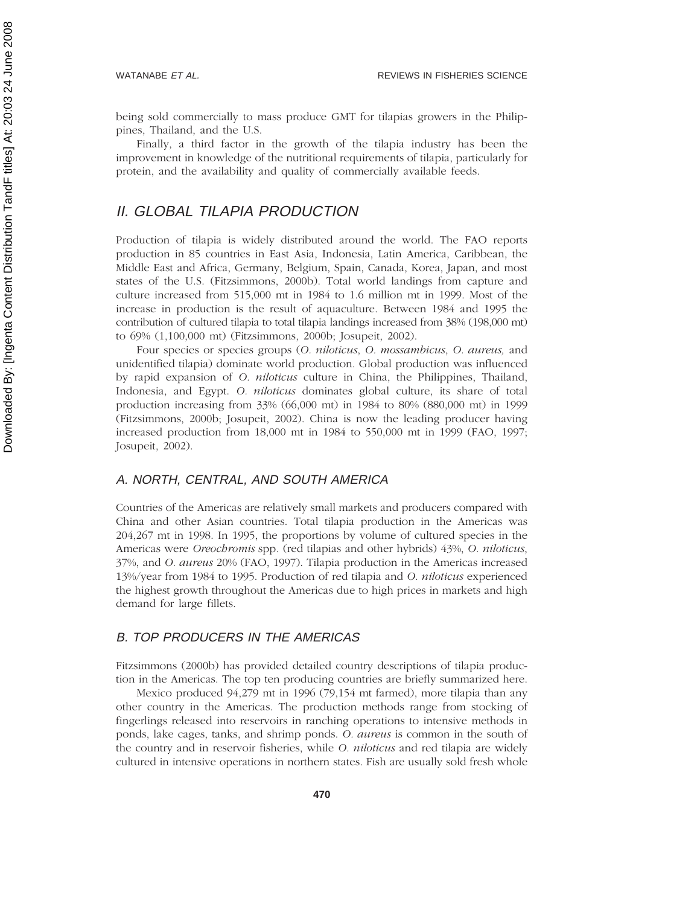being sold commercially to mass produce GMT for tilapias growers in the Philippines, Thailand, and the U.S.

Finally, a third factor in the growth of the tilapia industry has been the improvement in knowledge of the nutritional requirements of tilapia, particularly for protein, and the availability and quality of commercially available feeds.

# II. GLOBAL TILAPIA PRODUCTION

Production of tilapia is widely distributed around the world. The FAO reports production in 85 countries in East Asia, Indonesia, Latin America, Caribbean, the Middle East and Africa, Germany, Belgium, Spain, Canada, Korea, Japan, and most states of the U.S. (Fitzsimmons, 2000b). Total world landings from capture and culture increased from 515,000 mt in 1984 to 1.6 million mt in 1999. Most of the increase in production is the result of aquaculture. Between 1984 and 1995 the contribution of cultured tilapia to total tilapia landings increased from 38% (198,000 mt) to 69% (1,100,000 mt) (Fitzsimmons, 2000b; Josupeit, 2002).

Four species or species groups (*O. niloticus*, *O. mossambicus*, *O. aureus,* and unidentified tilapia) dominate world production. Global production was influenced by rapid expansion of *O. niloticus* culture in China, the Philippines, Thailand, Indonesia, and Egypt. *O. niloticus* dominates global culture, its share of total production increasing from 33% (66,000 mt) in 1984 to 80% (880,000 mt) in 1999 (Fitzsimmons, 2000b; Josupeit, 2002). China is now the leading producer having increased production from 18,000 mt in 1984 to 550,000 mt in 1999 (FAO, 1997; Josupeit, 2002).

#### A. NORTH, CENTRAL, AND SOUTH AMERICA

Countries of the Americas are relatively small markets and producers compared with China and other Asian countries. Total tilapia production in the Americas was 204,267 mt in 1998. In 1995, the proportions by volume of cultured species in the Americas were *Oreochromis* spp*.* (red tilapias and other hybrids) 43%, *O. niloticus*, 37%, and *O. aureus* 20% (FAO, 1997). Tilapia production in the Americas increased 13%/year from 1984 to 1995. Production of red tilapia and *O. niloticus* experienced the highest growth throughout the Americas due to high prices in markets and high demand for large fillets.

### B. TOP PRODUCERS IN THE AMERICAS

Fitzsimmons (2000b) has provided detailed country descriptions of tilapia production in the Americas. The top ten producing countries are briefly summarized here.

Mexico produced 94,279 mt in 1996 (79,154 mt farmed), more tilapia than any other country in the Americas. The production methods range from stocking of fingerlings released into reservoirs in ranching operations to intensive methods in ponds, lake cages, tanks, and shrimp ponds. *O. aureus* is common in the south of the country and in reservoir fisheries, while *O. niloticus* and red tilapia are widely cultured in intensive operations in northern states. Fish are usually sold fresh whole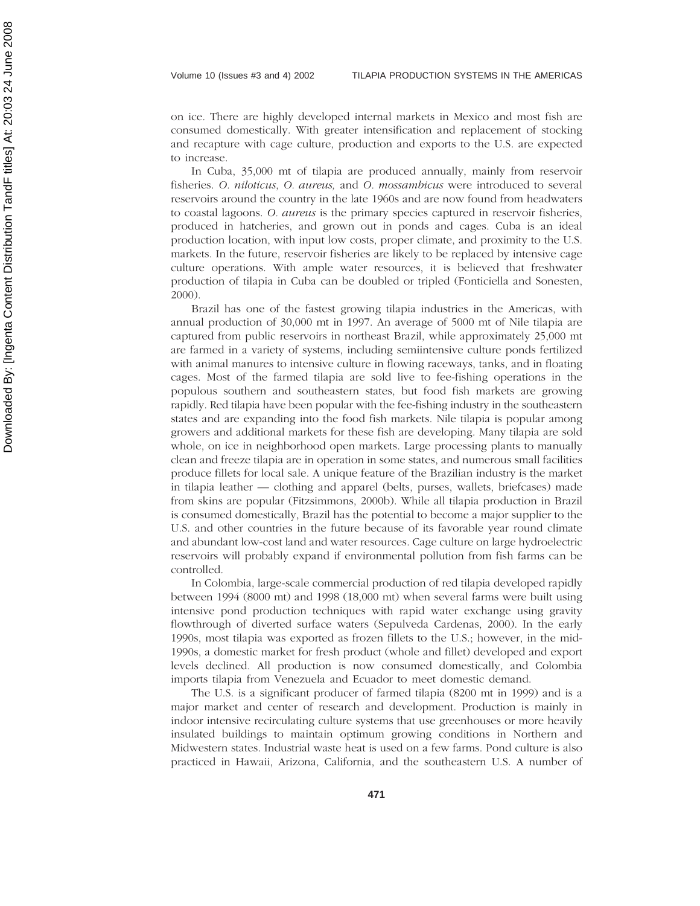on ice. There are highly developed internal markets in Mexico and most fish are consumed domestically. With greater intensification and replacement of stocking and recapture with cage culture, production and exports to the U.S. are expected to increase.

In Cuba, 35,000 mt of tilapia are produced annually, mainly from reservoir fisheries. *O. niloticus*, *O. aureus,* and *O. mossambicus* were introduced to several reservoirs around the country in the late 1960s and are now found from headwaters to coastal lagoons. *O. aureus* is the primary species captured in reservoir fisheries, produced in hatcheries, and grown out in ponds and cages. Cuba is an ideal production location, with input low costs, proper climate, and proximity to the U.S. markets. In the future, reservoir fisheries are likely to be replaced by intensive cage culture operations. With ample water resources, it is believed that freshwater production of tilapia in Cuba can be doubled or tripled (Fonticiella and Sonesten, 2000).

Brazil has one of the fastest growing tilapia industries in the Americas, with annual production of 30,000 mt in 1997. An average of 5000 mt of Nile tilapia are captured from public reservoirs in northeast Brazil, while approximately 25,000 mt are farmed in a variety of systems, including semiintensive culture ponds fertilized with animal manures to intensive culture in flowing raceways, tanks, and in floating cages. Most of the farmed tilapia are sold live to fee-fishing operations in the populous southern and southeastern states, but food fish markets are growing rapidly. Red tilapia have been popular with the fee-fishing industry in the southeastern states and are expanding into the food fish markets. Nile tilapia is popular among growers and additional markets for these fish are developing. Many tilapia are sold whole, on ice in neighborhood open markets. Large processing plants to manually clean and freeze tilapia are in operation in some states, and numerous small facilities produce fillets for local sale. A unique feature of the Brazilian industry is the market in tilapia leather — clothing and apparel (belts, purses, wallets, briefcases) made from skins are popular (Fitzsimmons, 2000b). While all tilapia production in Brazil is consumed domestically, Brazil has the potential to become a major supplier to the U.S. and other countries in the future because of its favorable year round climate and abundant low-cost land and water resources. Cage culture on large hydroelectric reservoirs will probably expand if environmental pollution from fish farms can be controlled.

In Colombia, large-scale commercial production of red tilapia developed rapidly between 1994 (8000 mt) and 1998 (18,000 mt) when several farms were built using intensive pond production techniques with rapid water exchange using gravity flowthrough of diverted surface waters (Sepulveda Cardenas, 2000). In the early 1990s, most tilapia was exported as frozen fillets to the U.S.; however, in the mid-1990s, a domestic market for fresh product (whole and fillet) developed and export levels declined. All production is now consumed domestically, and Colombia imports tilapia from Venezuela and Ecuador to meet domestic demand.

The U.S. is a significant producer of farmed tilapia (8200 mt in 1999) and is a major market and center of research and development. Production is mainly in indoor intensive recirculating culture systems that use greenhouses or more heavily insulated buildings to maintain optimum growing conditions in Northern and Midwestern states. Industrial waste heat is used on a few farms. Pond culture is also practiced in Hawaii, Arizona, California, and the southeastern U.S. A number of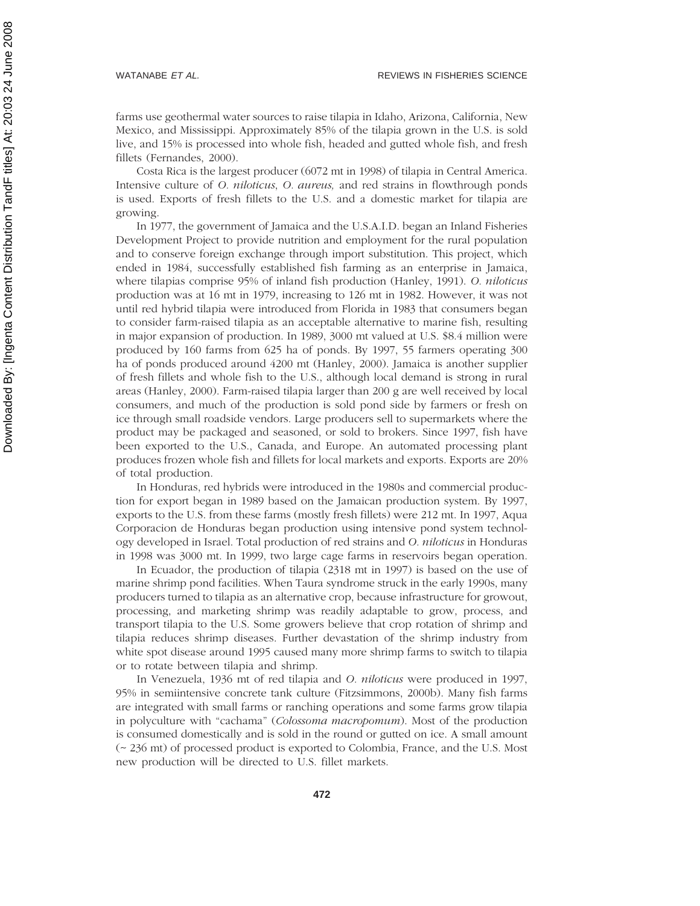farms use geothermal water sources to raise tilapia in Idaho, Arizona, California, New Mexico, and Mississippi. Approximately 85% of the tilapia grown in the U.S. is sold live, and 15% is processed into whole fish, headed and gutted whole fish, and fresh fillets (Fernandes, 2000).

Costa Rica is the largest producer (6072 mt in 1998) of tilapia in Central America. Intensive culture of *O. niloticus*, *O. aureus,* and red strains in flowthrough ponds is used. Exports of fresh fillets to the U.S. and a domestic market for tilapia are growing.

In 1977, the government of Jamaica and the U.S.A.I.D. began an Inland Fisheries Development Project to provide nutrition and employment for the rural population and to conserve foreign exchange through import substitution. This project, which ended in 1984, successfully established fish farming as an enterprise in Jamaica, where tilapias comprise 95% of inland fish production (Hanley, 1991). *O. niloticus* production was at 16 mt in 1979, increasing to 126 mt in 1982. However, it was not until red hybrid tilapia were introduced from Florida in 1983 that consumers began to consider farm-raised tilapia as an acceptable alternative to marine fish, resulting in major expansion of production. In 1989, 3000 mt valued at U.S. \$8.4 million were produced by 160 farms from 625 ha of ponds. By 1997, 55 farmers operating 300 ha of ponds produced around 4200 mt (Hanley, 2000). Jamaica is another supplier of fresh fillets and whole fish to the U.S., although local demand is strong in rural areas (Hanley, 2000). Farm-raised tilapia larger than 200 g are well received by local consumers, and much of the production is sold pond side by farmers or fresh on ice through small roadside vendors. Large producers sell to supermarkets where the product may be packaged and seasoned, or sold to brokers. Since 1997, fish have been exported to the U.S., Canada, and Europe. An automated processing plant produces frozen whole fish and fillets for local markets and exports. Exports are 20% of total production.

In Honduras, red hybrids were introduced in the 1980s and commercial production for export began in 1989 based on the Jamaican production system. By 1997, exports to the U.S. from these farms (mostly fresh fillets) were 212 mt. In 1997, Aqua Corporacion de Honduras began production using intensive pond system technology developed in Israel. Total production of red strains and *O. niloticus* in Honduras in 1998 was 3000 mt. In 1999, two large cage farms in reservoirs began operation.

In Ecuador, the production of tilapia (2318 mt in 1997) is based on the use of marine shrimp pond facilities. When Taura syndrome struck in the early 1990s, many producers turned to tilapia as an alternative crop, because infrastructure for growout, processing, and marketing shrimp was readily adaptable to grow, process, and transport tilapia to the U.S. Some growers believe that crop rotation of shrimp and tilapia reduces shrimp diseases. Further devastation of the shrimp industry from white spot disease around 1995 caused many more shrimp farms to switch to tilapia or to rotate between tilapia and shrimp.

In Venezuela, 1936 mt of red tilapia and *O. niloticus* were produced in 1997, 95% in semiintensive concrete tank culture (Fitzsimmons, 2000b). Many fish farms are integrated with small farms or ranching operations and some farms grow tilapia in polyculture with "cachama" (*Colossoma macropomum*). Most of the production is consumed domestically and is sold in the round or gutted on ice. A small amount (~ 236 mt) of processed product is exported to Colombia, France, and the U.S. Most new production will be directed to U.S. fillet markets.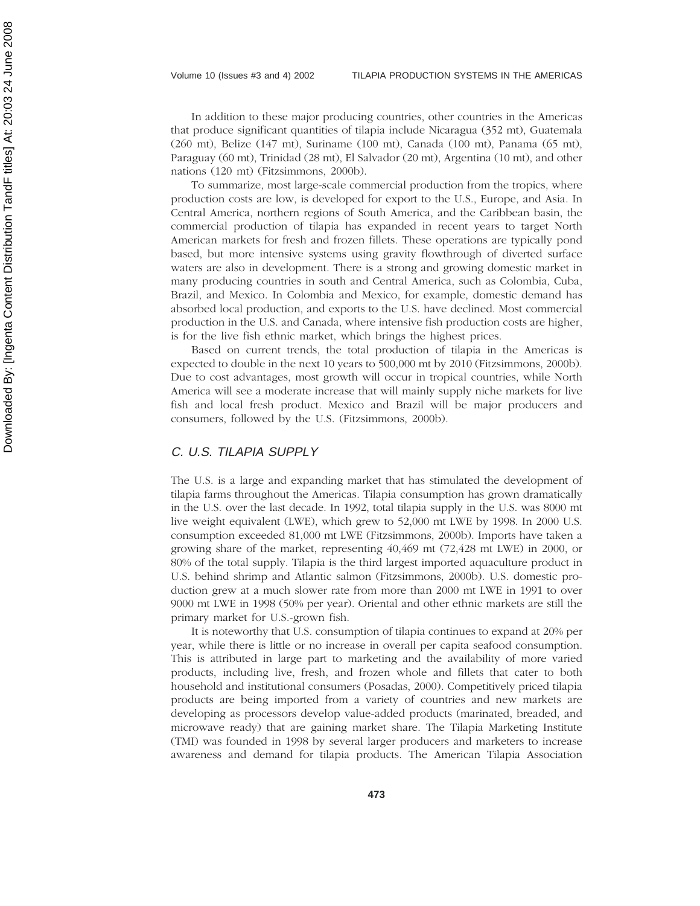In addition to these major producing countries, other countries in the Americas that produce significant quantities of tilapia include Nicaragua (352 mt), Guatemala (260 mt), Belize (147 mt), Suriname (100 mt), Canada (100 mt), Panama (65 mt), Paraguay (60 mt), Trinidad (28 mt), El Salvador (20 mt), Argentina (10 mt), and other nations (120 mt) (Fitzsimmons, 2000b).

To summarize, most large-scale commercial production from the tropics, where production costs are low, is developed for export to the U.S., Europe, and Asia. In Central America, northern regions of South America, and the Caribbean basin, the commercial production of tilapia has expanded in recent years to target North American markets for fresh and frozen fillets. These operations are typically pond based, but more intensive systems using gravity flowthrough of diverted surface waters are also in development. There is a strong and growing domestic market in many producing countries in south and Central America, such as Colombia, Cuba, Brazil, and Mexico. In Colombia and Mexico, for example, domestic demand has absorbed local production, and exports to the U.S. have declined. Most commercial production in the U.S. and Canada, where intensive fish production costs are higher, is for the live fish ethnic market, which brings the highest prices.

Based on current trends, the total production of tilapia in the Americas is expected to double in the next 10 years to 500,000 mt by 2010 (Fitzsimmons, 2000b). Due to cost advantages, most growth will occur in tropical countries, while North America will see a moderate increase that will mainly supply niche markets for live fish and local fresh product. Mexico and Brazil will be major producers and consumers, followed by the U.S. (Fitzsimmons, 2000b).

#### C. U.S. TILAPIA SUPPLY

The U.S. is a large and expanding market that has stimulated the development of tilapia farms throughout the Americas. Tilapia consumption has grown dramatically in the U.S. over the last decade. In 1992, total tilapia supply in the U.S. was 8000 mt live weight equivalent (LWE), which grew to 52,000 mt LWE by 1998. In 2000 U.S. consumption exceeded 81,000 mt LWE (Fitzsimmons, 2000b). Imports have taken a growing share of the market, representing 40,469 mt (72,428 mt LWE) in 2000, or 80% of the total supply. Tilapia is the third largest imported aquaculture product in U.S. behind shrimp and Atlantic salmon (Fitzsimmons, 2000b). U.S. domestic production grew at a much slower rate from more than 2000 mt LWE in 1991 to over 9000 mt LWE in 1998 (50% per year). Oriental and other ethnic markets are still the primary market for U.S.-grown fish.

It is noteworthy that U.S. consumption of tilapia continues to expand at 20% per year, while there is little or no increase in overall per capita seafood consumption. This is attributed in large part to marketing and the availability of more varied products, including live, fresh, and frozen whole and fillets that cater to both household and institutional consumers (Posadas, 2000). Competitively priced tilapia products are being imported from a variety of countries and new markets are developing as processors develop value-added products (marinated, breaded, and microwave ready) that are gaining market share. The Tilapia Marketing Institute (TMI) was founded in 1998 by several larger producers and marketers to increase awareness and demand for tilapia products. The American Tilapia Association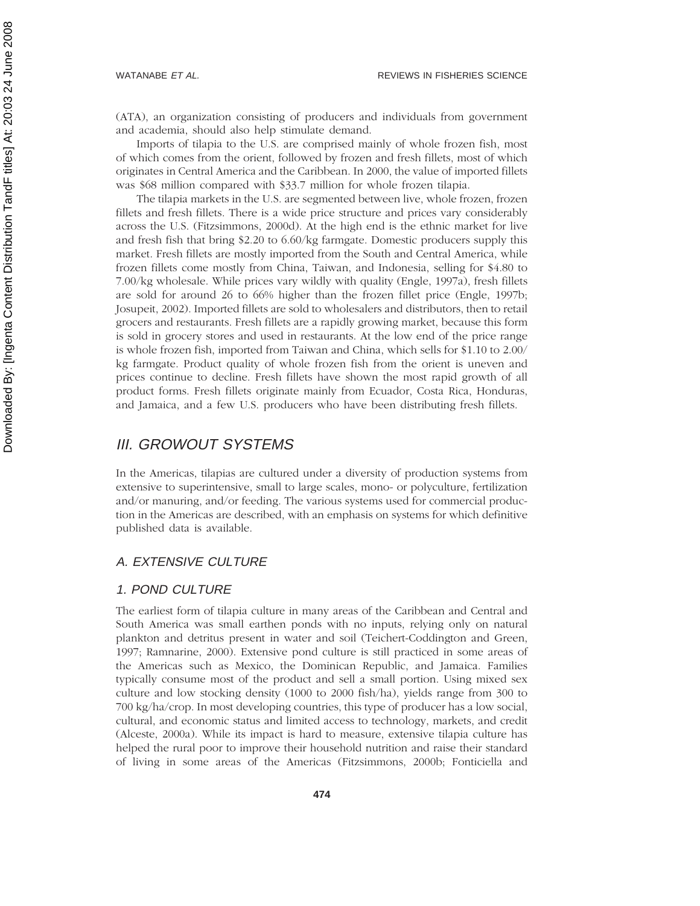(ATA), an organization consisting of producers and individuals from government and academia, should also help stimulate demand.

Imports of tilapia to the U.S. are comprised mainly of whole frozen fish, most of which comes from the orient, followed by frozen and fresh fillets, most of which originates in Central America and the Caribbean. In 2000, the value of imported fillets was \$68 million compared with \$33.7 million for whole frozen tilapia.

The tilapia markets in the U.S. are segmented between live, whole frozen, frozen fillets and fresh fillets. There is a wide price structure and prices vary considerably across the U.S. (Fitzsimmons, 2000d). At the high end is the ethnic market for live and fresh fish that bring \$2.20 to 6.60/kg farmgate. Domestic producers supply this market. Fresh fillets are mostly imported from the South and Central America, while frozen fillets come mostly from China, Taiwan, and Indonesia, selling for \$4.80 to 7.00/kg wholesale. While prices vary wildly with quality (Engle, 1997a), fresh fillets are sold for around 26 to 66% higher than the frozen fillet price (Engle, 1997b; Josupeit, 2002). Imported fillets are sold to wholesalers and distributors, then to retail grocers and restaurants. Fresh fillets are a rapidly growing market, because this form is sold in grocery stores and used in restaurants. At the low end of the price range is whole frozen fish, imported from Taiwan and China, which sells for \$1.10 to 2.00/ kg farmgate. Product quality of whole frozen fish from the orient is uneven and prices continue to decline. Fresh fillets have shown the most rapid growth of all product forms. Fresh fillets originate mainly from Ecuador, Costa Rica, Honduras, and Jamaica, and a few U.S. producers who have been distributing fresh fillets.

# III. GROWOUT SYSTEMS

In the Americas, tilapias are cultured under a diversity of production systems from extensive to superintensive, small to large scales, mono- or polyculture, fertilization and/or manuring, and/or feeding. The various systems used for commercial production in the Americas are described, with an emphasis on systems for which definitive published data is available.

# A. EXTENSIVE CULTURE

#### 1. POND CULTURE

The earliest form of tilapia culture in many areas of the Caribbean and Central and South America was small earthen ponds with no inputs, relying only on natural plankton and detritus present in water and soil (Teichert-Coddington and Green, 1997; Ramnarine, 2000). Extensive pond culture is still practiced in some areas of the Americas such as Mexico, the Dominican Republic, and Jamaica. Families typically consume most of the product and sell a small portion. Using mixed sex culture and low stocking density (1000 to 2000 fish/ha), yields range from 300 to 700 kg/ha/crop. In most developing countries, this type of producer has a low social, cultural, and economic status and limited access to technology, markets, and credit (Alceste, 2000a). While its impact is hard to measure, extensive tilapia culture has helped the rural poor to improve their household nutrition and raise their standard of living in some areas of the Americas (Fitzsimmons, 2000b; Fonticiella and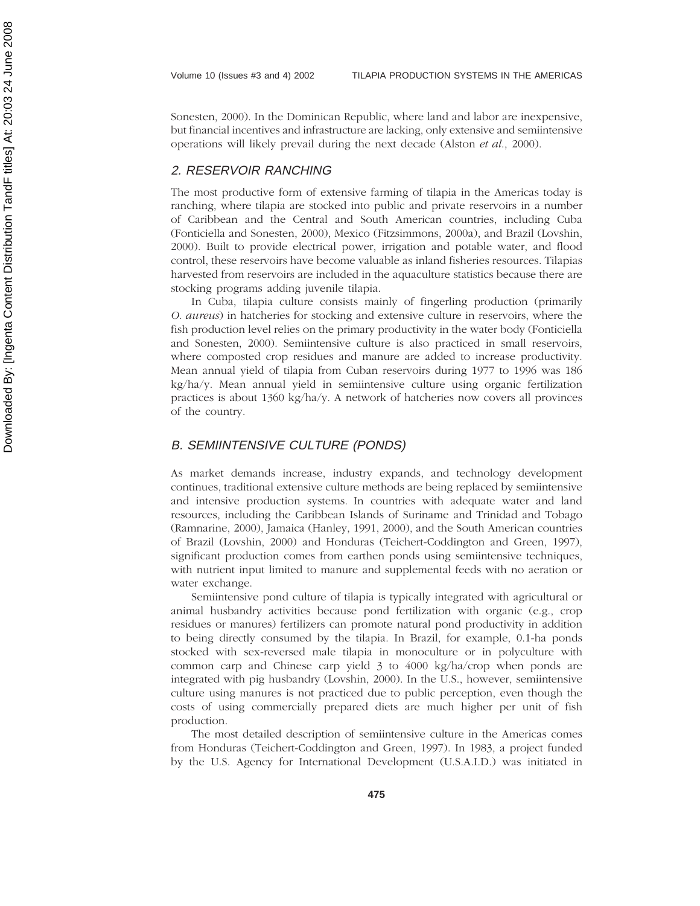Sonesten, 2000). In the Dominican Republic, where land and labor are inexpensive, but financial incentives and infrastructure are lacking, only extensive and semiintensive operations will likely prevail during the next decade (Alston *et al*., 2000).

#### 2. RESERVOIR RANCHING

The most productive form of extensive farming of tilapia in the Americas today is ranching, where tilapia are stocked into public and private reservoirs in a number of Caribbean and the Central and South American countries, including Cuba (Fonticiella and Sonesten, 2000), Mexico (Fitzsimmons, 2000a), and Brazil (Lovshin, 2000). Built to provide electrical power, irrigation and potable water, and flood control, these reservoirs have become valuable as inland fisheries resources. Tilapias harvested from reservoirs are included in the aquaculture statistics because there are stocking programs adding juvenile tilapia.

In Cuba, tilapia culture consists mainly of fingerling production (primarily *O. aureus*) in hatcheries for stocking and extensive culture in reservoirs, where the fish production level relies on the primary productivity in the water body (Fonticiella and Sonesten, 2000). Semiintensive culture is also practiced in small reservoirs, where composted crop residues and manure are added to increase productivity. Mean annual yield of tilapia from Cuban reservoirs during 1977 to 1996 was 186 kg/ha/y. Mean annual yield in semiintensive culture using organic fertilization practices is about 1360 kg/ha/y. A network of hatcheries now covers all provinces of the country.

#### B. SEMIINTENSIVE CULTURE (PONDS)

As market demands increase, industry expands, and technology development continues, traditional extensive culture methods are being replaced by semiintensive and intensive production systems. In countries with adequate water and land resources, including the Caribbean Islands of Suriname and Trinidad and Tobago (Ramnarine, 2000), Jamaica (Hanley, 1991, 2000), and the South American countries of Brazil (Lovshin, 2000) and Honduras (Teichert-Coddington and Green, 1997), significant production comes from earthen ponds using semiintensive techniques, with nutrient input limited to manure and supplemental feeds with no aeration or water exchange.

Semiintensive pond culture of tilapia is typically integrated with agricultural or animal husbandry activities because pond fertilization with organic (e.g., crop residues or manures) fertilizers can promote natural pond productivity in addition to being directly consumed by the tilapia. In Brazil, for example, 0.1-ha ponds stocked with sex-reversed male tilapia in monoculture or in polyculture with common carp and Chinese carp yield 3 to 4000 kg/ha/crop when ponds are integrated with pig husbandry (Lovshin, 2000). In the U.S., however, semiintensive culture using manures is not practiced due to public perception, even though the costs of using commercially prepared diets are much higher per unit of fish production.

The most detailed description of semiintensive culture in the Americas comes from Honduras (Teichert-Coddington and Green, 1997). In 1983, a project funded by the U.S. Agency for International Development (U.S.A.I.D.) was initiated in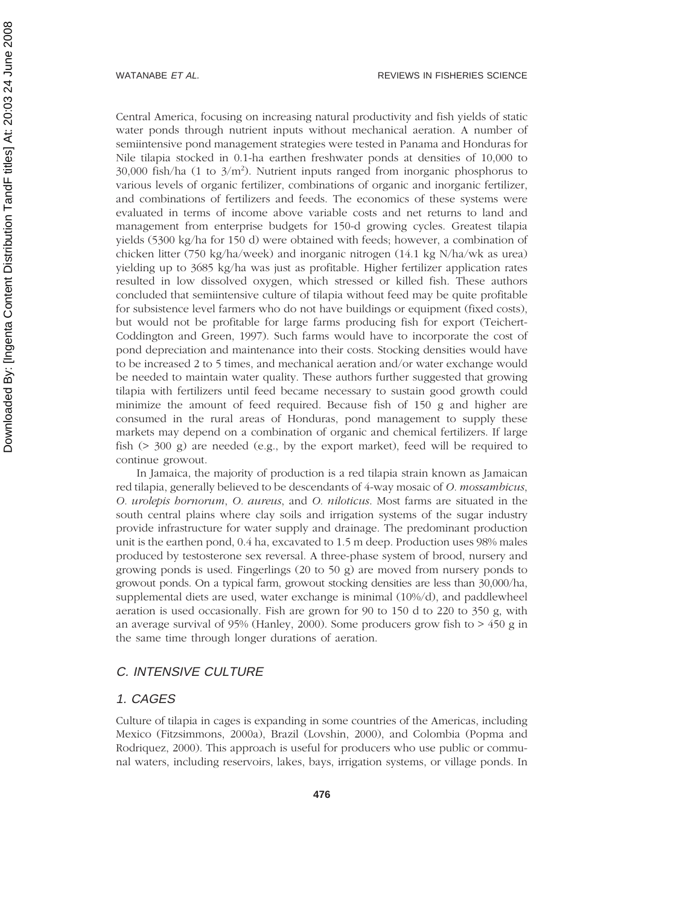Central America, focusing on increasing natural productivity and fish yields of static water ponds through nutrient inputs without mechanical aeration. A number of semiintensive pond management strategies were tested in Panama and Honduras for Nile tilapia stocked in 0.1-ha earthen freshwater ponds at densities of 10,000 to  $30,000$  fish/ha (1 to  $3/m<sup>2</sup>$ ). Nutrient inputs ranged from inorganic phosphorus to various levels of organic fertilizer, combinations of organic and inorganic fertilizer, and combinations of fertilizers and feeds. The economics of these systems were evaluated in terms of income above variable costs and net returns to land and management from enterprise budgets for 150-d growing cycles. Greatest tilapia yields (5300 kg/ha for 150 d) were obtained with feeds; however, a combination of chicken litter (750 kg/ha/week) and inorganic nitrogen (14.1 kg N/ha/wk as urea) yielding up to 3685 kg/ha was just as profitable. Higher fertilizer application rates resulted in low dissolved oxygen, which stressed or killed fish. These authors concluded that semiintensive culture of tilapia without feed may be quite profitable for subsistence level farmers who do not have buildings or equipment (fixed costs), but would not be profitable for large farms producing fish for export (Teichert-Coddington and Green, 1997). Such farms would have to incorporate the cost of pond depreciation and maintenance into their costs. Stocking densities would have to be increased 2 to 5 times, and mechanical aeration and/or water exchange would be needed to maintain water quality. These authors further suggested that growing tilapia with fertilizers until feed became necessary to sustain good growth could minimize the amount of feed required. Because fish of 150 g and higher are consumed in the rural areas of Honduras, pond management to supply these markets may depend on a combination of organic and chemical fertilizers. If large fish  $(> 300 \text{ g})$  are needed  $(e.g., by the export market)$ , feed will be required to continue growout.

In Jamaica, the majority of production is a red tilapia strain known as Jamaican red tilapia, generally believed to be descendants of 4-way mosaic of *O. mossambicus*, *O. urolepis hornorum*, *O. aureus*, and *O. niloticus*. Most farms are situated in the south central plains where clay soils and irrigation systems of the sugar industry provide infrastructure for water supply and drainage. The predominant production unit is the earthen pond, 0.4 ha, excavated to 1.5 m deep. Production uses 98% males produced by testosterone sex reversal. A three-phase system of brood, nursery and growing ponds is used. Fingerlings  $(20 \text{ to } 50 \text{ g})$  are moved from nursery ponds to growout ponds. On a typical farm, growout stocking densities are less than 30,000/ha, supplemental diets are used, water exchange is minimal (10%/d), and paddlewheel aeration is used occasionally. Fish are grown for 90 to 150 d to 220 to 350 g, with an average survival of 95% (Hanley, 2000). Some producers grow fish to  $> 450$  g in the same time through longer durations of aeration.

#### C. INTENSIVE CULTURE

#### 1. CAGES

Culture of tilapia in cages is expanding in some countries of the Americas, including Mexico (Fitzsimmons, 2000a), Brazil (Lovshin, 2000), and Colombia (Popma and Rodriquez, 2000). This approach is useful for producers who use public or communal waters, including reservoirs, lakes, bays, irrigation systems, or village ponds. In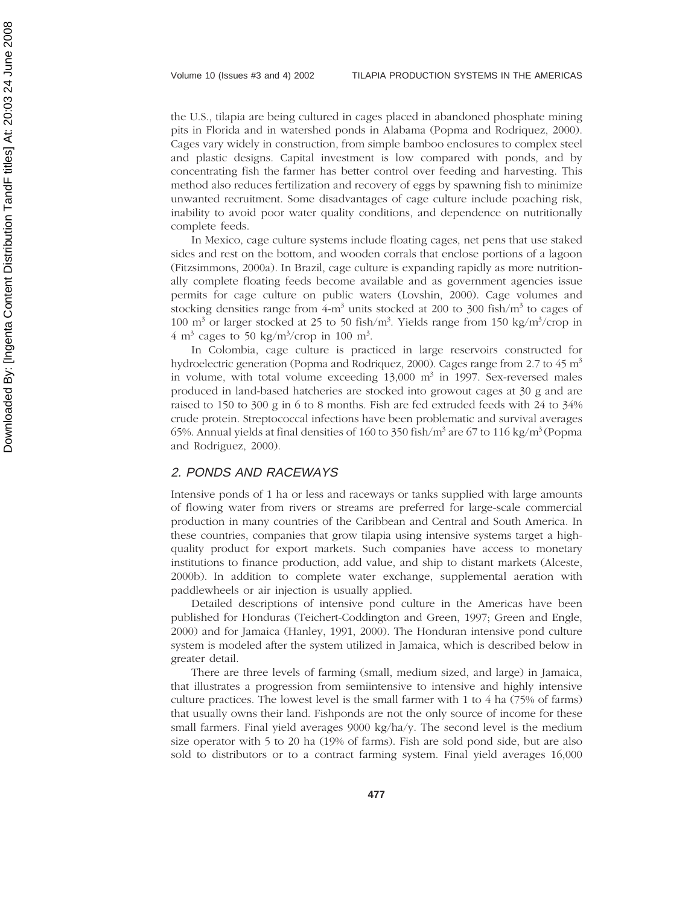the U.S., tilapia are being cultured in cages placed in abandoned phosphate mining pits in Florida and in watershed ponds in Alabama (Popma and Rodriquez, 2000). Cages vary widely in construction, from simple bamboo enclosures to complex steel and plastic designs. Capital investment is low compared with ponds, and by concentrating fish the farmer has better control over feeding and harvesting. This method also reduces fertilization and recovery of eggs by spawning fish to minimize unwanted recruitment. Some disadvantages of cage culture include poaching risk, inability to avoid poor water quality conditions, and dependence on nutritionally complete feeds.

In Mexico, cage culture systems include floating cages, net pens that use staked sides and rest on the bottom, and wooden corrals that enclose portions of a lagoon (Fitzsimmons, 2000a). In Brazil, cage culture is expanding rapidly as more nutritionally complete floating feeds become available and as government agencies issue permits for cage culture on public waters (Lovshin, 2000). Cage volumes and stocking densities range from 4-m<sup>3</sup> units stocked at 200 to 300 fish/m<sup>3</sup> to cages of 100 m<sup>3</sup> or larger stocked at 25 to 50 fish/m<sup>3</sup>. Yields range from 150 kg/m<sup>3</sup>/crop in  $4 \text{ m}^3$  cages to 50 kg/m<sup>3</sup>/crop in 100 m<sup>3</sup>.

In Colombia, cage culture is practiced in large reservoirs constructed for hydroelectric generation (Popma and Rodriquez, 2000). Cages range from 2.7 to 45 m<sup>3</sup> in volume, with total volume exceeding  $13,000$  m<sup>3</sup> in 1997. Sex-reversed males produced in land-based hatcheries are stocked into growout cages at 30 g and are raised to 150 to 300 g in 6 to 8 months. Fish are fed extruded feeds with 24 to 34% crude protein. Streptococcal infections have been problematic and survival averages 65%. Annual yields at final densities of 160 to 350 fish/m $^3$  are 67 to 116 kg/m $^3$  (Popma and Rodriguez, 2000).

#### 2. PONDS AND RACEWAYS

Intensive ponds of 1 ha or less and raceways or tanks supplied with large amounts of flowing water from rivers or streams are preferred for large-scale commercial production in many countries of the Caribbean and Central and South America. In these countries, companies that grow tilapia using intensive systems target a highquality product for export markets. Such companies have access to monetary institutions to finance production, add value, and ship to distant markets (Alceste, 2000b). In addition to complete water exchange, supplemental aeration with paddlewheels or air injection is usually applied.

Detailed descriptions of intensive pond culture in the Americas have been published for Honduras (Teichert-Coddington and Green, 1997; Green and Engle, 2000) and for Jamaica (Hanley, 1991, 2000). The Honduran intensive pond culture system is modeled after the system utilized in Jamaica, which is described below in greater detail.

There are three levels of farming (small, medium sized, and large) in Jamaica, that illustrates a progression from semiintensive to intensive and highly intensive culture practices. The lowest level is the small farmer with 1 to 4 ha (75% of farms) that usually owns their land. Fishponds are not the only source of income for these small farmers. Final yield averages 9000 kg/ha/y. The second level is the medium size operator with 5 to 20 ha (19% of farms). Fish are sold pond side, but are also sold to distributors or to a contract farming system. Final yield averages 16,000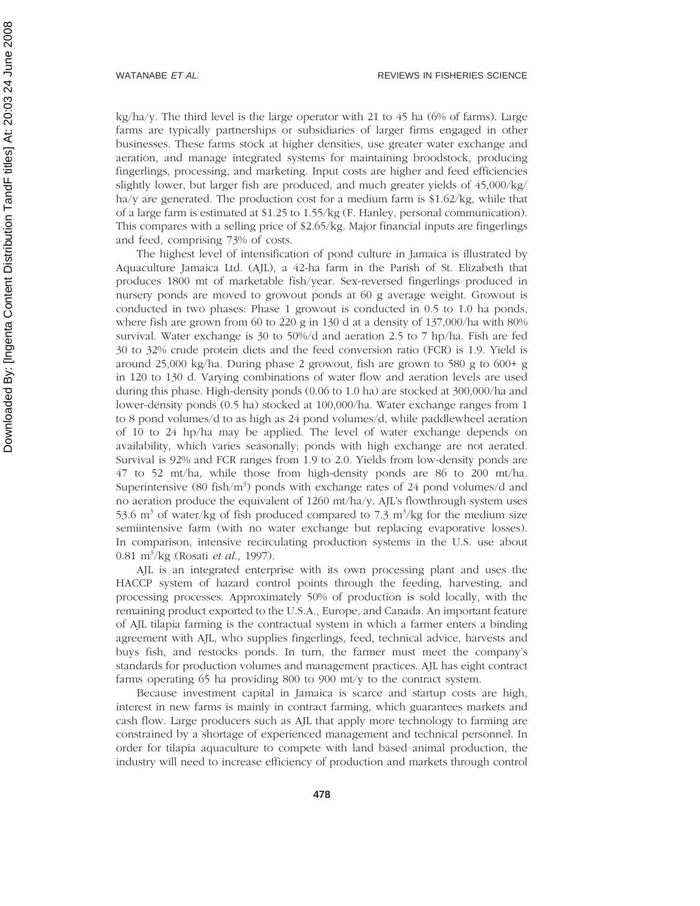kg/ha/y. The third level is the large operator with 21 to 45 ha  $(6\%$  of farms). Large farms are typically partnerships or subsidiaries of larger firms engaged in other businesses. These farms stock at higher densities, use greater water exchange and aeration, and manage integrated systems for maintaining broodstock, producing fingerlings, processing, and marketing. Input costs are higher and feed efficiencies slightly lower, but larger fish are produced, and much greater yields of 45,000/kg/ ha/y are generated. The production cost for a medium farm is  $$1.62/kg$ , while that of a large farm is estimated at \$1.25 to 1.55/kg (F. Hanley, personal communication). This compares with a selling price of \$2.65/kg. Major financial inputs are fingerlings and feed, comprising 73% of costs.

The highest level of intensification of pond culture in Jamaica is illustrated by Aquaculture Jamaica Ltd. (AJL), a 42-ha farm in the Parish of St. Elizabeth that produces 1800 mt of marketable fish/year. Sex-reversed fingerlings produced in nursery ponds are moved to growout ponds at 60 g average weight. Growout is conducted in two phases: Phase 1 growout is conducted in 0.5 to 1.0 ha ponds, where fish are grown from 60 to 220 g in 130 d at a density of 137,000/ha with 80% survival. Water exchange is 30 to 50%/d and aeration 2.5 to 7 hp/ha. Fish are fed 30 to 32% crude protein diets and the feed conversion ratio (FCR) is 1.9. Yield is around 25,000 kg/ha. During phase 2 growout, fish are grown to 580 g to 600+ g in 120 to 130 d. Varying combinations of water flow and aeration levels are used during this phase. High-density ponds (0.06 to 1.0 ha) are stocked at 300,000/ha and lower-density ponds (0.5 ha) stocked at 100,000/ha. Water exchange ranges from 1 to 8 pond volumes/d to as high as 24 pond volumes/d, while paddlewheel aeration of 10 to 24 hp/ha may be applied. The level of water exchange depends on availability, which varies seasonally; ponds with high exchange are not aerated. Survival is 92% and FCR ranges from 1.9 to 2.0. Yields from low-density ponds are 47 to 52 mt/ha, while those from high-density ponds are 86 to 200 mt/ha. Superintensive (80 fish/ $m<sup>3</sup>$ ) ponds with exchange rates of 24 pond volumes/d and no aeration produce the equivalent of  $1260 \text{ mt/ha/y}$ . AJL's flowthrough system uses 53.6  $\text{m}^3$  of water/kg of fish produced compared to 7.3  $\text{m}^3$ /kg for the medium size semiintensive farm (with no water exchange but replacing evaporative losses). In comparison, intensive recirculating production systems in the U.S. use about 0.81 m3 /kg (Rosati *et al*., 1997).

AJL is an integrated enterprise with its own processing plant and uses the HACCP system of hazard control points through the feeding, harvesting, and processing processes. Approximately 50% of production is sold locally, with the remaining product exported to the U.S.A., Europe, and Canada. An important feature of AJL tilapia farming is the contractual system in which a farmer enters a binding agreement with AJL, who supplies fingerlings, feed, technical advice, harvests and buys fish, and restocks ponds. In turn, the farmer must meet the company's standards for production volumes and management practices. AJL has eight contract farms operating 65 ha providing 800 to 900 mt/y to the contract system.

Because investment capital in Jamaica is scarce and startup costs are high, interest in new farms is mainly in contract farming, which guarantees markets and cash flow. Large producers such as AJL that apply more technology to farming are constrained by a shortage of experienced management and technical personnel. In order for tilapia aquaculture to compete with land based animal production, the industry will need to increase efficiency of production and markets through control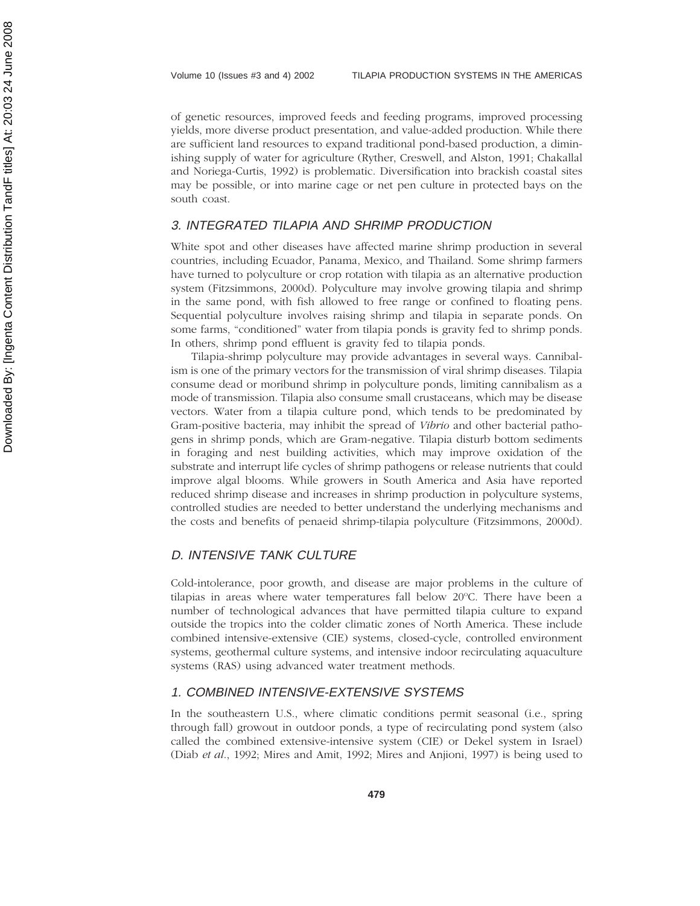of genetic resources, improved feeds and feeding programs, improved processing yields, more diverse product presentation, and value-added production. While there are sufficient land resources to expand traditional pond-based production, a diminishing supply of water for agriculture (Ryther, Creswell, and Alston, 1991; Chakallal and Noriega-Curtis, 1992) is problematic. Diversification into brackish coastal sites may be possible, or into marine cage or net pen culture in protected bays on the south coast.

#### 3. INTEGRATED TILAPIA AND SHRIMP PRODUCTION

White spot and other diseases have affected marine shrimp production in several countries, including Ecuador, Panama, Mexico, and Thailand. Some shrimp farmers have turned to polyculture or crop rotation with tilapia as an alternative production system (Fitzsimmons, 2000d). Polyculture may involve growing tilapia and shrimp in the same pond, with fish allowed to free range or confined to floating pens. Sequential polyculture involves raising shrimp and tilapia in separate ponds. On some farms, "conditioned" water from tilapia ponds is gravity fed to shrimp ponds. In others, shrimp pond effluent is gravity fed to tilapia ponds.

Tilapia-shrimp polyculture may provide advantages in several ways. Cannibalism is one of the primary vectors for the transmission of viral shrimp diseases. Tilapia consume dead or moribund shrimp in polyculture ponds, limiting cannibalism as a mode of transmission. Tilapia also consume small crustaceans, which may be disease vectors. Water from a tilapia culture pond, which tends to be predominated by Gram-positive bacteria, may inhibit the spread of *Vibrio* and other bacterial pathogens in shrimp ponds, which are Gram-negative. Tilapia disturb bottom sediments in foraging and nest building activities, which may improve oxidation of the substrate and interrupt life cycles of shrimp pathogens or release nutrients that could improve algal blooms. While growers in South America and Asia have reported reduced shrimp disease and increases in shrimp production in polyculture systems, controlled studies are needed to better understand the underlying mechanisms and the costs and benefits of penaeid shrimp-tilapia polyculture (Fitzsimmons, 2000d).

### D. INTENSIVE TANK CULTURE

Cold-intolerance, poor growth, and disease are major problems in the culture of tilapias in areas where water temperatures fall below 20°C. There have been a number of technological advances that have permitted tilapia culture to expand outside the tropics into the colder climatic zones of North America. These include combined intensive-extensive (CIE) systems, closed-cycle, controlled environment systems, geothermal culture systems, and intensive indoor recirculating aquaculture systems (RAS) using advanced water treatment methods.

#### 1. COMBINED INTENSIVE-EXTENSIVE SYSTEMS

In the southeastern U.S., where climatic conditions permit seasonal (i.e., spring through fall) growout in outdoor ponds, a type of recirculating pond system (also called the combined extensive-intensive system (CIE) or Dekel system in Israel) (Diab *et al*., 1992; Mires and Amit, 1992; Mires and Anjioni, 1997) is being used to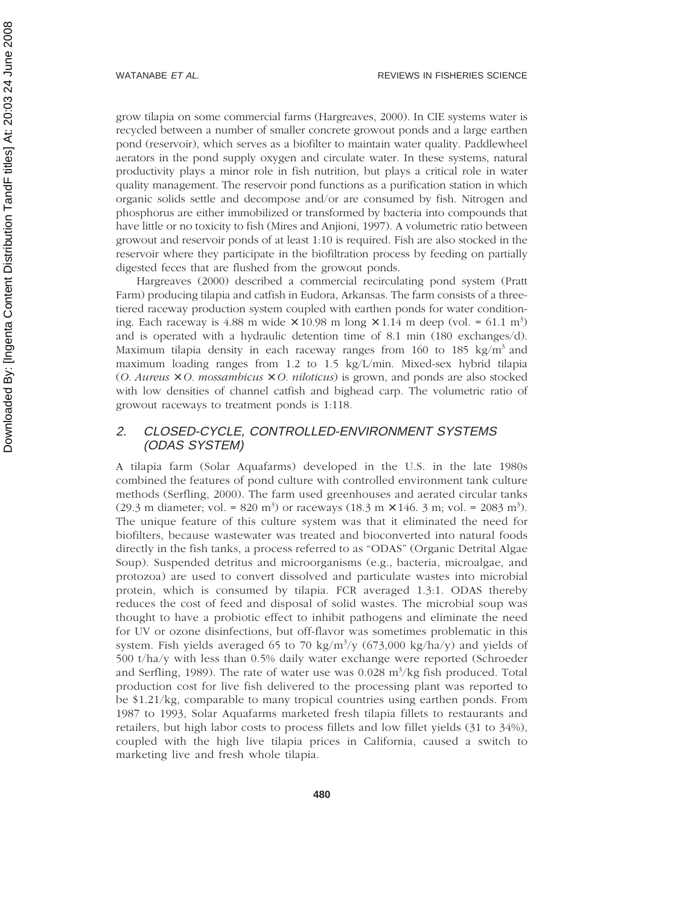grow tilapia on some commercial farms (Hargreaves, 2000). In CIE systems water is recycled between a number of smaller concrete growout ponds and a large earthen pond (reservoir), which serves as a biofilter to maintain water quality. Paddlewheel aerators in the pond supply oxygen and circulate water. In these systems, natural productivity plays a minor role in fish nutrition, but plays a critical role in water quality management. The reservoir pond functions as a purification station in which organic solids settle and decompose and/or are consumed by fish. Nitrogen and phosphorus are either immobilized or transformed by bacteria into compounds that have little or no toxicity to fish (Mires and Anjioni, 1997). A volumetric ratio between growout and reservoir ponds of at least 1:10 is required. Fish are also stocked in the reservoir where they participate in the biofiltration process by feeding on partially digested feces that are flushed from the growout ponds.

Hargreaves (2000) described a commercial recirculating pond system (Pratt Farm) producing tilapia and catfish in Eudora, Arkansas. The farm consists of a threetiered raceway production system coupled with earthen ponds for water conditioning. Each raceway is  $4.88$  m wide  $\times$  10.98 m long  $\times$  1.14 m deep (vol. = 61.1 m<sup>3</sup>) and is operated with a hydraulic detention time of 8.1 min (180 exchanges/d). Maximum tilapia density in each raceway ranges from 160 to 185 kg/m<sup>3</sup> and maximum loading ranges from 1.2 to 1.5 kg/L/min. Mixed-sex hybrid tilapia  $(0. \textit{Aureus} \times 0. \textit{mossambicus} \times 0. \textit{niloticus})$  is grown, and ponds are also stocked with low densities of channel catfish and bighead carp. The volumetric ratio of growout raceways to treatment ponds is 1:118.

#### 2. CLOSED-CYCLE, CONTROLLED-ENVIRONMENT SYSTEMS (ODAS SYSTEM)

A tilapia farm (Solar Aquafarms) developed in the U.S. in the late 1980s combined the features of pond culture with controlled environment tank culture methods (Serfling, 2000). The farm used greenhouses and aerated circular tanks (29.3 m diameter; vol. = 820 m<sup>3</sup>) or raceways (18.3 m  $\times$  146. 3 m; vol. = 2083 m<sup>3</sup>). The unique feature of this culture system was that it eliminated the need for biofilters, because wastewater was treated and bioconverted into natural foods directly in the fish tanks, a process referred to as "ODAS" (Organic Detrital Algae Soup). Suspended detritus and microorganisms (e.g., bacteria, microalgae, and protozoa) are used to convert dissolved and particulate wastes into microbial protein, which is consumed by tilapia. FCR averaged 1.3:1. ODAS thereby reduces the cost of feed and disposal of solid wastes. The microbial soup was thought to have a probiotic effect to inhibit pathogens and eliminate the need for UV or ozone disinfections, but off-flavor was sometimes problematic in this system. Fish yields averaged 65 to 70 kg/m<sup>3</sup>/y (673,000 kg/ha/y) and yields of 500 t/ha/y with less than 0.5% daily water exchange were reported (Schroeder and Serfling, 1989). The rate of water use was 0.028 m<sup>3</sup>/kg fish produced. Total production cost for live fish delivered to the processing plant was reported to be \$1.21/kg, comparable to many tropical countries using earthen ponds. From 1987 to 1993, Solar Aquafarms marketed fresh tilapia fillets to restaurants and retailers, but high labor costs to process fillets and low fillet yields (31 to 34%), coupled with the high live tilapia prices in California, caused a switch to marketing live and fresh whole tilapia.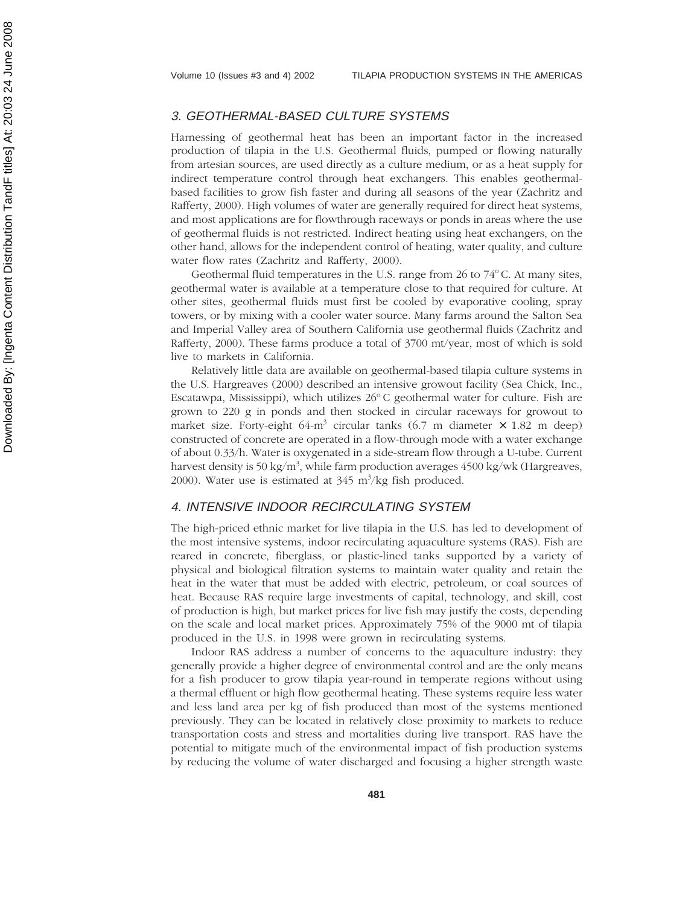#### 3. GEOTHERMAL-BASED CULTURE SYSTEMS

Harnessing of geothermal heat has been an important factor in the increased production of tilapia in the U.S. Geothermal fluids, pumped or flowing naturally from artesian sources, are used directly as a culture medium, or as a heat supply for indirect temperature control through heat exchangers. This enables geothermalbased facilities to grow fish faster and during all seasons of the year (Zachritz and Rafferty, 2000). High volumes of water are generally required for direct heat systems, and most applications are for flowthrough raceways or ponds in areas where the use of geothermal fluids is not restricted. Indirect heating using heat exchangers, on the other hand, allows for the independent control of heating, water quality, and culture water flow rates (Zachritz and Rafferty, 2000).

Geothermal fluid temperatures in the U.S. range from 26 to  $74^{\circ}$ C. At many sites, geothermal water is available at a temperature close to that required for culture. At other sites, geothermal fluids must first be cooled by evaporative cooling, spray towers, or by mixing with a cooler water source. Many farms around the Salton Sea and Imperial Valley area of Southern California use geothermal fluids (Zachritz and Rafferty, 2000). These farms produce a total of 3700 mt/year, most of which is sold live to markets in California.

Relatively little data are available on geothermal-based tilapia culture systems in the U.S. Hargreaves (2000) described an intensive growout facility (Sea Chick, Inc., Escatawpa, Mississippi), which utilizes  $26^{\circ}$ C geothermal water for culture. Fish are grown to 220 g in ponds and then stocked in circular raceways for growout to market size. Forty-eight  $64\text{-m}^3$  circular tanks  $(6.7 \text{ m}$  diameter  $\times$  1.82 m deep) constructed of concrete are operated in a flow-through mode with a water exchange of about 0.33/h. Water is oxygenated in a side-stream flow through a U-tube. Current harvest density is 50 kg/m<sup>3</sup>, while farm production averages 4500 kg/wk (Hargreaves, 2000). Water use is estimated at  $345 \text{ m}^3/\text{kg}$  fish produced.

#### 4. INTENSIVE INDOOR RECIRCULATING SYSTEM

The high-priced ethnic market for live tilapia in the U.S. has led to development of the most intensive systems, indoor recirculating aquaculture systems (RAS). Fish are reared in concrete, fiberglass, or plastic-lined tanks supported by a variety of physical and biological filtration systems to maintain water quality and retain the heat in the water that must be added with electric, petroleum, or coal sources of heat. Because RAS require large investments of capital, technology, and skill, cost of production is high, but market prices for live fish may justify the costs, depending on the scale and local market prices. Approximately 75% of the 9000 mt of tilapia produced in the U.S. in 1998 were grown in recirculating systems.

Indoor RAS address a number of concerns to the aquaculture industry: they generally provide a higher degree of environmental control and are the only means for a fish producer to grow tilapia year-round in temperate regions without using a thermal effluent or high flow geothermal heating. These systems require less water and less land area per kg of fish produced than most of the systems mentioned previously. They can be located in relatively close proximity to markets to reduce transportation costs and stress and mortalities during live transport. RAS have the potential to mitigate much of the environmental impact of fish production systems by reducing the volume of water discharged and focusing a higher strength waste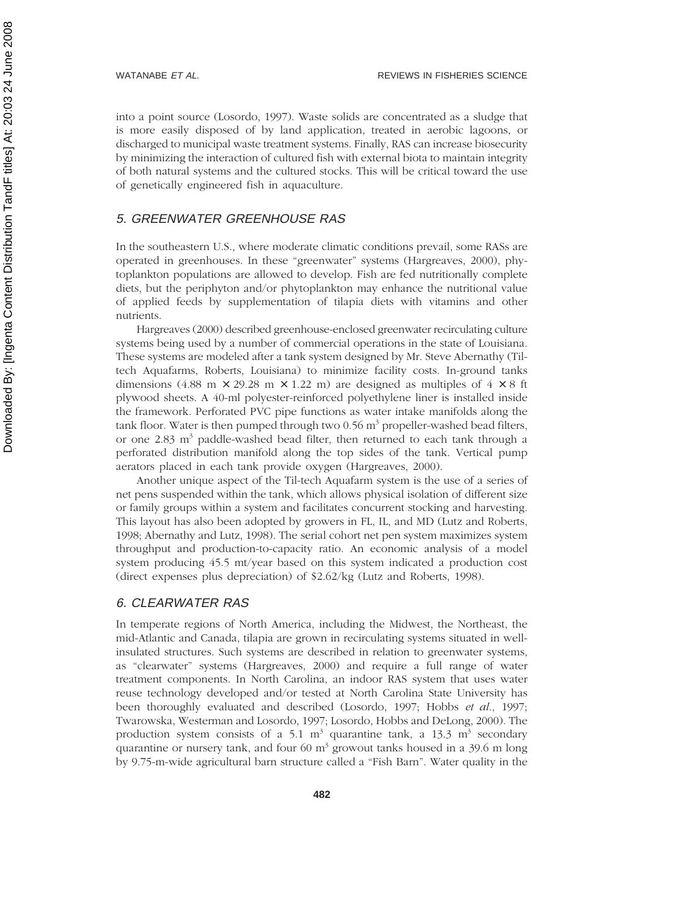into a point source (Losordo, 1997). Waste solids are concentrated as a sludge that is more easily disposed of by land application, treated in aerobic lagoons, or discharged to municipal waste treatment systems. Finally, RAS can increase biosecurity by minimizing the interaction of cultured fish with external biota to maintain integrity of both natural systems and the cultured stocks. This will be critical toward the use of genetically engineered fish in aquaculture.

#### 5. GREENWATER GREENHOUSE RAS

In the southeastern U.S., where moderate climatic conditions prevail, some RASs are operated in greenhouses. In these "greenwater" systems (Hargreaves, 2000), phytoplankton populations are allowed to develop. Fish are fed nutritionally complete diets, but the periphyton and/or phytoplankton may enhance the nutritional value of applied feeds by supplementation of tilapia diets with vitamins and other nutrients.

Hargreaves (2000) described greenhouse-enclosed greenwater recirculating culture systems being used by a number of commercial operations in the state of Louisiana. These systems are modeled after a tank system designed by Mr. Steve Abernathy (Tiltech Aquafarms, Roberts, Louisiana) to minimize facility costs. In-ground tanks dimensions (4.88 m  $\times$  29.28 m  $\times$  1.22 m) are designed as multiples of 4  $\times$  8 ft plywood sheets. A 40-ml polyester-reinforced polyethylene liner is installed inside the framework. Perforated PVC pipe functions as water intake manifolds along the tank floor. Water is then pumped through two  $0.56$  m<sup>3</sup> propeller-washed bead filters, or one 2.83 m<sup>3</sup> paddle-washed bead filter, then returned to each tank through a perforated distribution manifold along the top sides of the tank. Vertical pump aerators placed in each tank provide oxygen (Hargreaves, 2000).

Another unique aspect of the Til-tech Aquafarm system is the use of a series of net pens suspended within the tank, which allows physical isolation of different size or family groups within a system and facilitates concurrent stocking and harvesting. This layout has also been adopted by growers in FL, IL, and MD (Lutz and Roberts, 1998; Abernathy and Lutz, 1998). The serial cohort net pen system maximizes system throughput and production-to-capacity ratio. An economic analysis of a model system producing 45.5 mt/year based on this system indicated a production cost (direct expenses plus depreciation) of \$2.62/kg (Lutz and Roberts, 1998).

#### 6. CLEARWATER RAS

In temperate regions of North America, including the Midwest, the Northeast, the mid-Atlantic and Canada, tilapia are grown in recirculating systems situated in wellinsulated structures. Such systems are described in relation to greenwater systems, as "clearwater" systems (Hargreaves, 2000) and require a full range of water treatment components. In North Carolina, an indoor RAS system that uses water reuse technology developed and/or tested at North Carolina State University has been thoroughly evaluated and described (Losordo, 1997; Hobbs *et al*., 1997; Twarowska, Westerman and Losordo, 1997; Losordo, Hobbs and DeLong, 2000). The production system consists of a 5.1  $m^3$  quarantine tank, a 13.3  $m^3$  secondary quarantine or nursery tank, and four  $60 \text{ m}^3$  growout tanks housed in a 39.6 m long by 9.75-m-wide agricultural barn structure called a "Fish Barn". Water quality in the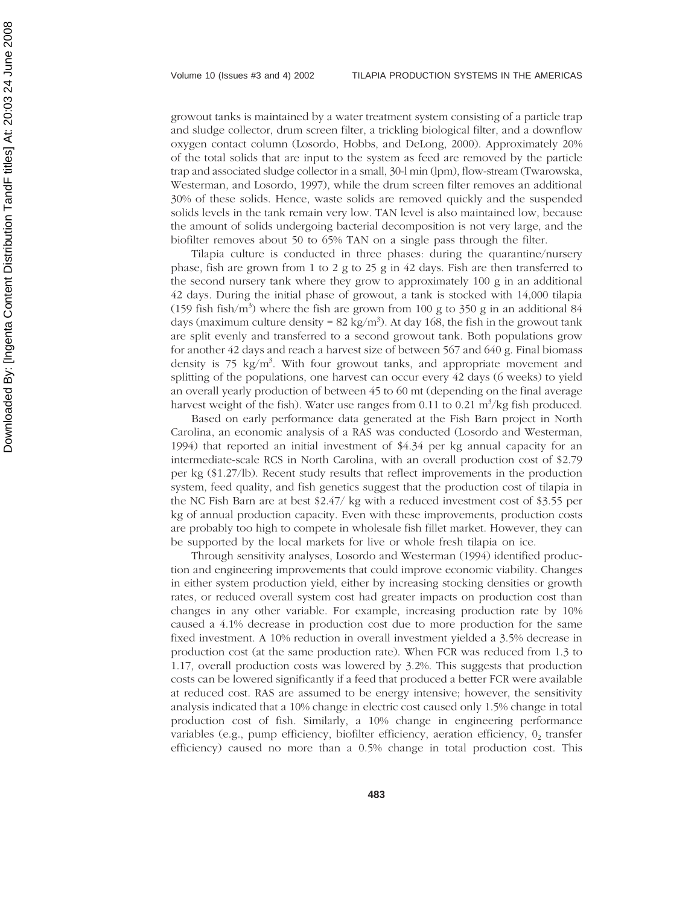growout tanks is maintained by a water treatment system consisting of a particle trap and sludge collector, drum screen filter, a trickling biological filter, and a downflow oxygen contact column (Losordo, Hobbs, and DeLong, 2000). Approximately 20% of the total solids that are input to the system as feed are removed by the particle trap and associated sludge collector in a small, 30-l min (lpm), flow-stream (Twarowska, Westerman, and Losordo, 1997), while the drum screen filter removes an additional 30% of these solids. Hence, waste solids are removed quickly and the suspended solids levels in the tank remain very low. TAN level is also maintained low, because the amount of solids undergoing bacterial decomposition is not very large, and the biofilter removes about 50 to 65% TAN on a single pass through the filter.

Tilapia culture is conducted in three phases: during the quarantine/nursery phase, fish are grown from 1 to 2 g to 25 g in 42 days. Fish are then transferred to the second nursery tank where they grow to approximately 100 g in an additional 42 days. During the initial phase of growout, a tank is stocked with 14,000 tilapia (159 fish fish/m<sup>3</sup>) where the fish are grown from 100 g to 350 g in an additional 84 days (maximum culture density =  $82 \text{ kg/m}^3$ ). At day 168, the fish in the growout tank are split evenly and transferred to a second growout tank. Both populations grow for another 42 days and reach a harvest size of between 567 and 640 g. Final biomass density is 75 kg/m<sup>3</sup>. With four growout tanks, and appropriate movement and splitting of the populations, one harvest can occur every 42 days (6 weeks) to yield an overall yearly production of between 45 to 60 mt (depending on the final average harvest weight of the fish). Water use ranges from 0.11 to 0.21  $\text{m}^3/\text{kg}$  fish produced.

Based on early performance data generated at the Fish Barn project in North Carolina, an economic analysis of a RAS was conducted (Losordo and Westerman, 1994) that reported an initial investment of \$4.34 per kg annual capacity for an intermediate-scale RCS in North Carolina, with an overall production cost of \$2.79 per kg (\$1.27/lb). Recent study results that reflect improvements in the production system, feed quality, and fish genetics suggest that the production cost of tilapia in the NC Fish Barn are at best \$2.47/ kg with a reduced investment cost of \$3.55 per kg of annual production capacity. Even with these improvements, production costs are probably too high to compete in wholesale fish fillet market. However, they can be supported by the local markets for live or whole fresh tilapia on ice.

Through sensitivity analyses, Losordo and Westerman (1994) identified production and engineering improvements that could improve economic viability. Changes in either system production yield, either by increasing stocking densities or growth rates, or reduced overall system cost had greater impacts on production cost than changes in any other variable. For example, increasing production rate by 10% caused a 4.1% decrease in production cost due to more production for the same fixed investment. A 10% reduction in overall investment yielded a 3.5% decrease in production cost (at the same production rate). When FCR was reduced from 1.3 to 1.17, overall production costs was lowered by 3.2%. This suggests that production costs can be lowered significantly if a feed that produced a better FCR were available at reduced cost. RAS are assumed to be energy intensive; however, the sensitivity analysis indicated that a 10% change in electric cost caused only 1.5% change in total production cost of fish. Similarly, a 10% change in engineering performance variables (e.g., pump efficiency, biofilter efficiency, aeration efficiency,  $0<sub>2</sub>$  transfer efficiency) caused no more than a 0.5% change in total production cost. This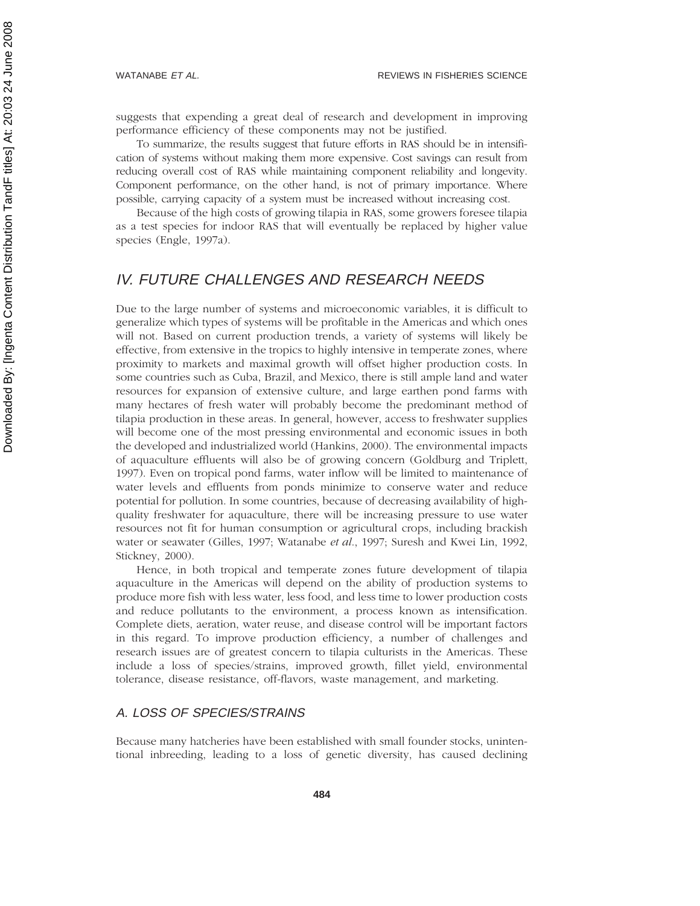suggests that expending a great deal of research and development in improving performance efficiency of these components may not be justified.

To summarize, the results suggest that future efforts in RAS should be in intensification of systems without making them more expensive. Cost savings can result from reducing overall cost of RAS while maintaining component reliability and longevity. Component performance, on the other hand, is not of primary importance. Where possible, carrying capacity of a system must be increased without increasing cost.

Because of the high costs of growing tilapia in RAS, some growers foresee tilapia as a test species for indoor RAS that will eventually be replaced by higher value species (Engle, 1997a).

# IV. FUTURE CHALLENGES AND RESEARCH NEEDS

Due to the large number of systems and microeconomic variables, it is difficult to generalize which types of systems will be profitable in the Americas and which ones will not. Based on current production trends, a variety of systems will likely be effective, from extensive in the tropics to highly intensive in temperate zones, where proximity to markets and maximal growth will offset higher production costs. In some countries such as Cuba, Brazil, and Mexico, there is still ample land and water resources for expansion of extensive culture, and large earthen pond farms with many hectares of fresh water will probably become the predominant method of tilapia production in these areas. In general, however, access to freshwater supplies will become one of the most pressing environmental and economic issues in both the developed and industrialized world (Hankins, 2000). The environmental impacts of aquaculture effluents will also be of growing concern (Goldburg and Triplett, 1997). Even on tropical pond farms, water inflow will be limited to maintenance of water levels and effluents from ponds minimize to conserve water and reduce potential for pollution. In some countries, because of decreasing availability of highquality freshwater for aquaculture, there will be increasing pressure to use water resources not fit for human consumption or agricultural crops, including brackish water or seawater (Gilles, 1997; Watanabe *et al*., 1997; Suresh and Kwei Lin, 1992, Stickney, 2000).

Hence, in both tropical and temperate zones future development of tilapia aquaculture in the Americas will depend on the ability of production systems to produce more fish with less water, less food, and less time to lower production costs and reduce pollutants to the environment, a process known as intensification. Complete diets, aeration, water reuse, and disease control will be important factors in this regard. To improve production efficiency, a number of challenges and research issues are of greatest concern to tilapia culturists in the Americas. These include a loss of species/strains, improved growth, fillet yield, environmental tolerance, disease resistance, off-flavors, waste management, and marketing.

#### A. LOSS OF SPECIES/STRAINS

Because many hatcheries have been established with small founder stocks, unintentional inbreeding, leading to a loss of genetic diversity, has caused declining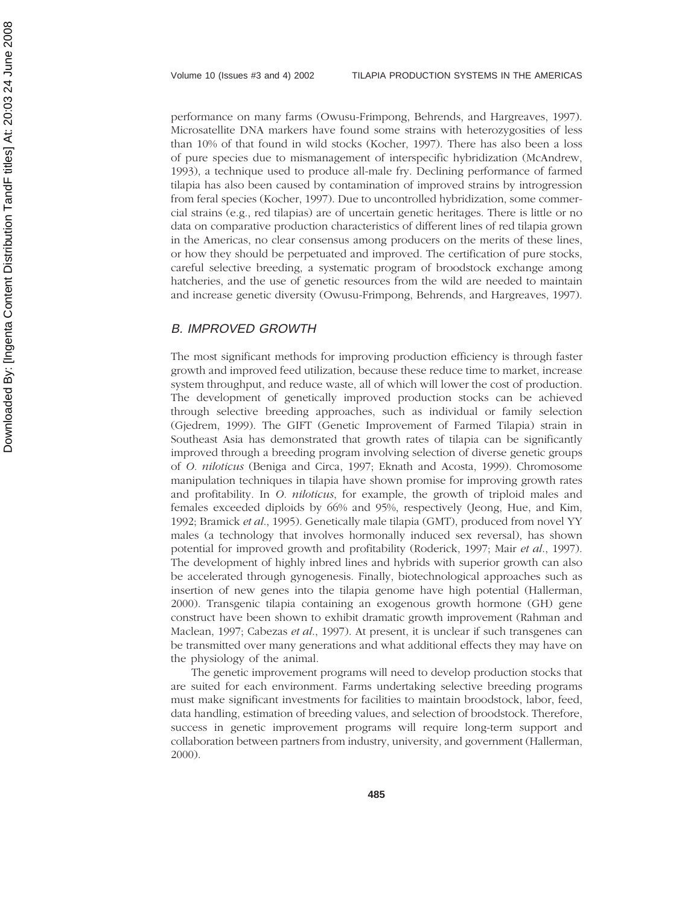performance on many farms (Owusu-Frimpong, Behrends, and Hargreaves, 1997). Microsatellite DNA markers have found some strains with heterozygosities of less than 10% of that found in wild stocks (Kocher, 1997). There has also been a loss of pure species due to mismanagement of interspecific hybridization (McAndrew, 1993), a technique used to produce all-male fry. Declining performance of farmed tilapia has also been caused by contamination of improved strains by introgression from feral species (Kocher, 1997). Due to uncontrolled hybridization, some commercial strains (e.g., red tilapias) are of uncertain genetic heritages. There is little or no data on comparative production characteristics of different lines of red tilapia grown in the Americas, no clear consensus among producers on the merits of these lines, or how they should be perpetuated and improved. The certification of pure stocks, careful selective breeding, a systematic program of broodstock exchange among hatcheries, and the use of genetic resources from the wild are needed to maintain and increase genetic diversity (Owusu-Frimpong, Behrends, and Hargreaves, 1997).

#### B. IMPROVED GROWTH

The most significant methods for improving production efficiency is through faster growth and improved feed utilization, because these reduce time to market, increase system throughput, and reduce waste, all of which will lower the cost of production. The development of genetically improved production stocks can be achieved through selective breeding approaches, such as individual or family selection (Gjedrem, 1999). The GIFT (Genetic Improvement of Farmed Tilapia) strain in Southeast Asia has demonstrated that growth rates of tilapia can be significantly improved through a breeding program involving selection of diverse genetic groups of *O. niloticus* (Beniga and Circa, 1997; Eknath and Acosta, 1999). Chromosome manipulation techniques in tilapia have shown promise for improving growth rates and profitability. In *O. niloticus*, for example, the growth of triploid males and females exceeded diploids by 66% and 95%, respectively (Jeong, Hue, and Kim, 1992; Bramick *et al*., 1995). Genetically male tilapia (GMT), produced from novel YY males (a technology that involves hormonally induced sex reversal), has shown potential for improved growth and profitability (Roderick, 1997; Mair *et al*., 1997). The development of highly inbred lines and hybrids with superior growth can also be accelerated through gynogenesis. Finally, biotechnological approaches such as insertion of new genes into the tilapia genome have high potential (Hallerman, 2000). Transgenic tilapia containing an exogenous growth hormone (GH) gene construct have been shown to exhibit dramatic growth improvement (Rahman and Maclean, 1997; Cabezas *et al*., 1997). At present, it is unclear if such transgenes can be transmitted over many generations and what additional effects they may have on the physiology of the animal.

The genetic improvement programs will need to develop production stocks that are suited for each environment. Farms undertaking selective breeding programs must make significant investments for facilities to maintain broodstock, labor, feed, data handling, estimation of breeding values, and selection of broodstock. Therefore, success in genetic improvement programs will require long-term support and collaboration between partners from industry, university, and government (Hallerman, 2000).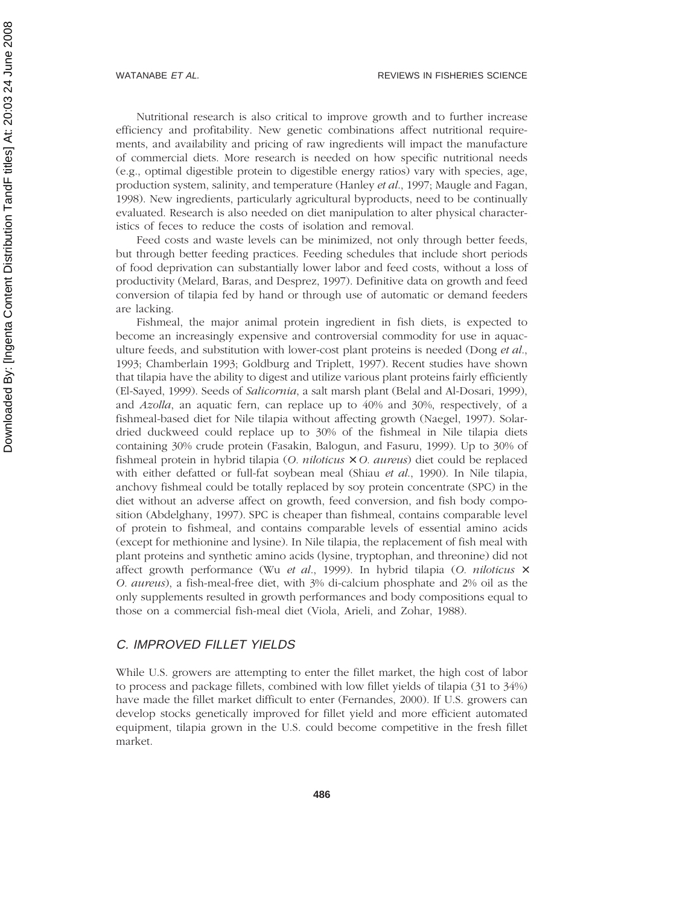Nutritional research is also critical to improve growth and to further increase efficiency and profitability. New genetic combinations affect nutritional requirements, and availability and pricing of raw ingredients will impact the manufacture of commercial diets. More research is needed on how specific nutritional needs (e.g., optimal digestible protein to digestible energy ratios) vary with species, age, production system, salinity, and temperature (Hanley *et al*., 1997; Maugle and Fagan, 1998). New ingredients, particularly agricultural byproducts, need to be continually evaluated. Research is also needed on diet manipulation to alter physical characteristics of feces to reduce the costs of isolation and removal.

Feed costs and waste levels can be minimized, not only through better feeds, but through better feeding practices. Feeding schedules that include short periods of food deprivation can substantially lower labor and feed costs, without a loss of productivity (Melard, Baras, and Desprez, 1997). Definitive data on growth and feed conversion of tilapia fed by hand or through use of automatic or demand feeders are lacking.

Fishmeal, the major animal protein ingredient in fish diets, is expected to become an increasingly expensive and controversial commodity for use in aquaculture feeds, and substitution with lower-cost plant proteins is needed (Dong *et al*., 1993; Chamberlain 1993; Goldburg and Triplett, 1997). Recent studies have shown that tilapia have the ability to digest and utilize various plant proteins fairly efficiently (El-Sayed, 1999). Seeds of *Salicornia*, a salt marsh plant (Belal and Al-Dosari, 1999), and *Azolla*, an aquatic fern, can replace up to 40% and 30%, respectively, of a fishmeal-based diet for Nile tilapia without affecting growth (Naegel, 1997). Solardried duckweed could replace up to 30% of the fishmeal in Nile tilapia diets containing 30% crude protein (Fasakin, Balogun, and Fasuru, 1999). Up to 30% of fishmeal protein in hybrid tilapia (*O. niloticus* × *O. aureus*) diet could be replaced with either defatted or full-fat soybean meal (Shiau *et al*., 1990). In Nile tilapia, anchovy fishmeal could be totally replaced by soy protein concentrate (SPC) in the diet without an adverse affect on growth, feed conversion, and fish body composition (Abdelghany, 1997). SPC is cheaper than fishmeal, contains comparable level of protein to fishmeal, and contains comparable levels of essential amino acids (except for methionine and lysine). In Nile tilapia, the replacement of fish meal with plant proteins and synthetic amino acids (lysine, tryptophan, and threonine) did not affect growth performance (Wu *et al*., 1999). In hybrid tilapia (*O. niloticus* × *O. aureus*), a fish-meal-free diet, with 3% di-calcium phosphate and 2% oil as the only supplements resulted in growth performances and body compositions equal to those on a commercial fish-meal diet (Viola, Arieli, and Zohar, 1988).

#### C. IMPROVED FILLET YIELDS

While U.S. growers are attempting to enter the fillet market, the high cost of labor to process and package fillets, combined with low fillet yields of tilapia (31 to 34%) have made the fillet market difficult to enter (Fernandes, 2000). If U.S. growers can develop stocks genetically improved for fillet yield and more efficient automated equipment, tilapia grown in the U.S. could become competitive in the fresh fillet market.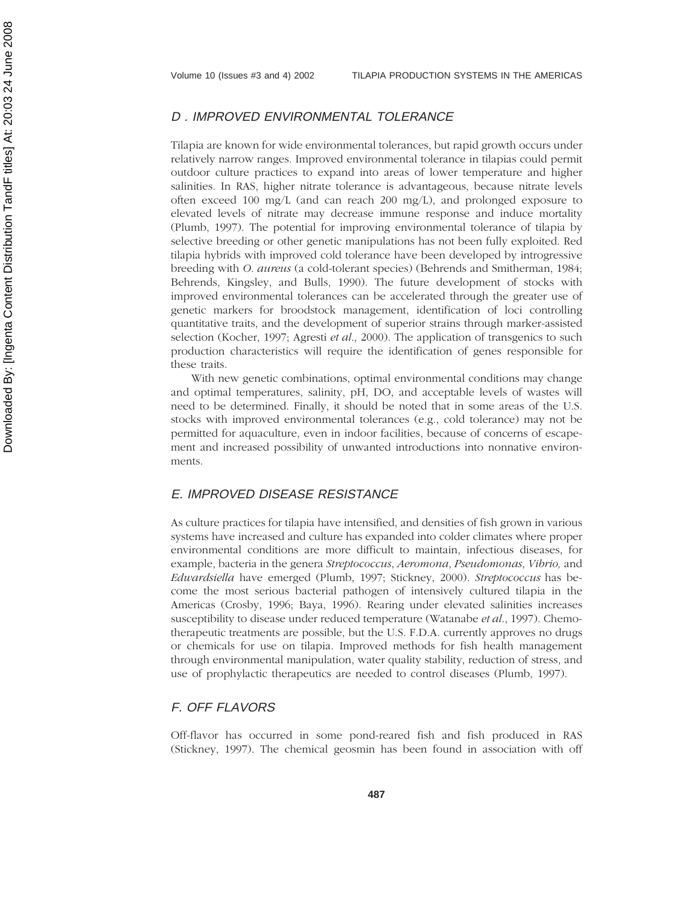#### D . IMPROVED ENVIRONMENTAL TOLERANCE

Tilapia are known for wide environmental tolerances, but rapid growth occurs under relatively narrow ranges. Improved environmental tolerance in tilapias could permit outdoor culture practices to expand into areas of lower temperature and higher salinities. In RAS, higher nitrate tolerance is advantageous, because nitrate levels often exceed 100 mg/L (and can reach 200 mg/L), and prolonged exposure to elevated levels of nitrate may decrease immune response and induce mortality (Plumb, 1997). The potential for improving environmental tolerance of tilapia by selective breeding or other genetic manipulations has not been fully exploited. Red tilapia hybrids with improved cold tolerance have been developed by introgressive breeding with *O. aureus* (a cold-tolerant species) (Behrends and Smitherman, 1984; Behrends, Kingsley, and Bulls, 1990). The future development of stocks with improved environmental tolerances can be accelerated through the greater use of genetic markers for broodstock management, identification of loci controlling quantitative traits, and the development of superior strains through marker-assisted selection (Kocher, 1997; Agresti *et al*., 2000). The application of transgenics to such production characteristics will require the identification of genes responsible for these traits.

With new genetic combinations, optimal environmental conditions may change and optimal temperatures, salinity, pH, DO, and acceptable levels of wastes will need to be determined. Finally, it should be noted that in some areas of the U.S. stocks with improved environmental tolerances (e.g., cold tolerance) may not be permitted for aquaculture, even in indoor facilities, because of concerns of escapement and increased possibility of unwanted introductions into nonnative environments.

#### E. IMPROVED DISEASE RESISTANCE

As culture practices for tilapia have intensified, and densities of fish grown in various systems have increased and culture has expanded into colder climates where proper environmental conditions are more difficult to maintain, infectious diseases, for example, bacteria in the genera *Streptococcus*, *Aeromona*, *Pseudomonas*, *Vibrio,* and *Edwardsiella* have emerged (Plumb, 1997; Stickney, 2000). *Streptococcus* has become the most serious bacterial pathogen of intensively cultured tilapia in the Americas (Crosby, 1996; Baya, 1996). Rearing under elevated salinities increases susceptibility to disease under reduced temperature (Watanabe *et al*., 1997). Chemotherapeutic treatments are possible, but the U.S. F.D.A. currently approves no drugs or chemicals for use on tilapia. Improved methods for fish health management through environmental manipulation, water quality stability, reduction of stress, and use of prophylactic therapeutics are needed to control diseases (Plumb, 1997).

# F. OFF FLAVORS

Off-flavor has occurred in some pond-reared fish and fish produced in RAS (Stickney, 1997). The chemical geosmin has been found in association with off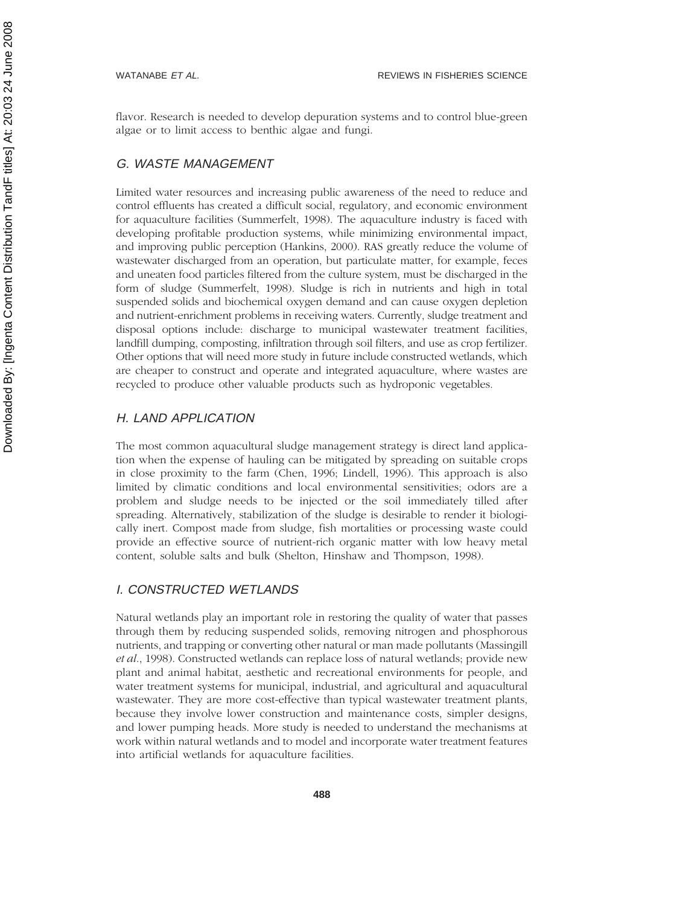flavor. Research is needed to develop depuration systems and to control blue-green algae or to limit access to benthic algae and fungi.

### G. WASTE MANAGEMENT

Limited water resources and increasing public awareness of the need to reduce and control effluents has created a difficult social, regulatory, and economic environment for aquaculture facilities (Summerfelt, 1998). The aquaculture industry is faced with developing profitable production systems, while minimizing environmental impact, and improving public perception (Hankins, 2000). RAS greatly reduce the volume of wastewater discharged from an operation, but particulate matter, for example, feces and uneaten food particles filtered from the culture system, must be discharged in the form of sludge (Summerfelt, 1998). Sludge is rich in nutrients and high in total suspended solids and biochemical oxygen demand and can cause oxygen depletion and nutrient-enrichment problems in receiving waters. Currently, sludge treatment and disposal options include: discharge to municipal wastewater treatment facilities, landfill dumping, composting, infiltration through soil filters, and use as crop fertilizer. Other options that will need more study in future include constructed wetlands, which are cheaper to construct and operate and integrated aquaculture, where wastes are recycled to produce other valuable products such as hydroponic vegetables.

#### H. LAND APPLICATION

The most common aquacultural sludge management strategy is direct land application when the expense of hauling can be mitigated by spreading on suitable crops in close proximity to the farm (Chen, 1996; Lindell, 1996). This approach is also limited by climatic conditions and local environmental sensitivities; odors are a problem and sludge needs to be injected or the soil immediately tilled after spreading. Alternatively, stabilization of the sludge is desirable to render it biologically inert. Compost made from sludge, fish mortalities or processing waste could provide an effective source of nutrient-rich organic matter with low heavy metal content, soluble salts and bulk (Shelton, Hinshaw and Thompson, 1998).

#### I. CONSTRUCTED WETLANDS

Natural wetlands play an important role in restoring the quality of water that passes through them by reducing suspended solids, removing nitrogen and phosphorous nutrients, and trapping or converting other natural or man made pollutants (Massingill *et al*., 1998). Constructed wetlands can replace loss of natural wetlands; provide new plant and animal habitat, aesthetic and recreational environments for people, and water treatment systems for municipal, industrial, and agricultural and aquacultural wastewater. They are more cost-effective than typical wastewater treatment plants, because they involve lower construction and maintenance costs, simpler designs, and lower pumping heads. More study is needed to understand the mechanisms at work within natural wetlands and to model and incorporate water treatment features into artificial wetlands for aquaculture facilities.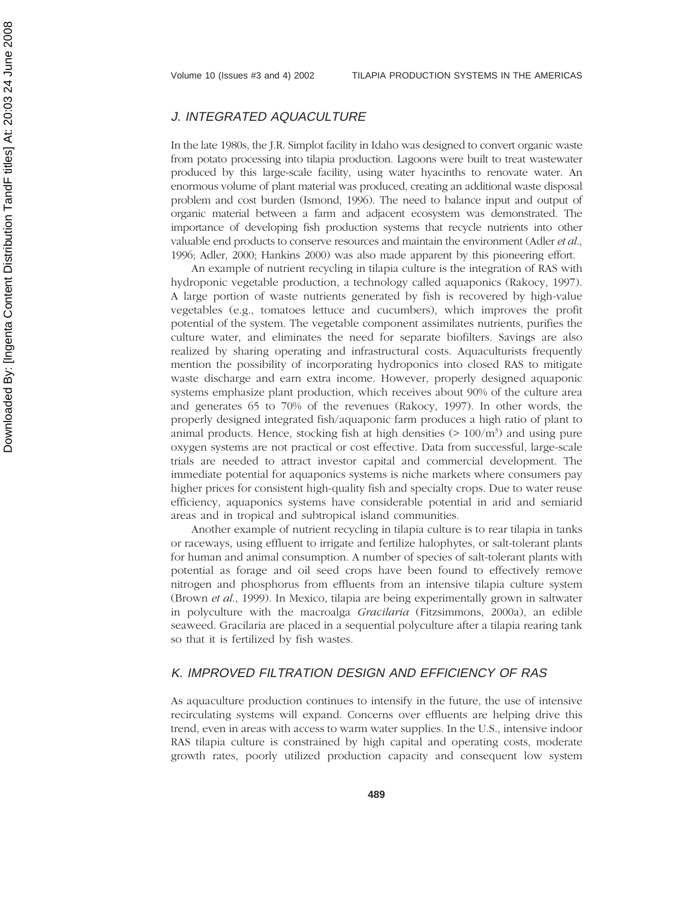#### J. INTEGRATED AQUACULTURE

In the late 1980s, the J.R. Simplot facility in Idaho was designed to convert organic waste from potato processing into tilapia production. Lagoons were built to treat wastewater produced by this large-scale facility, using water hyacinths to renovate water. An enormous volume of plant material was produced, creating an additional waste disposal problem and cost burden (Ismond, 1996). The need to balance input and output of organic material between a farm and adjacent ecosystem was demonstrated. The importance of developing fish production systems that recycle nutrients into other valuable end products to conserve resources and maintain the environment (Adler *et al*., 1996; Adler, 2000; Hankins 2000) was also made apparent by this pioneering effort.

An example of nutrient recycling in tilapia culture is the integration of RAS with hydroponic vegetable production, a technology called aquaponics (Rakocy, 1997). A large portion of waste nutrients generated by fish is recovered by high-value vegetables (e.g., tomatoes lettuce and cucumbers), which improves the profit potential of the system. The vegetable component assimilates nutrients, purifies the culture water, and eliminates the need for separate biofilters. Savings are also realized by sharing operating and infrastructural costs. Aquaculturists frequently mention the possibility of incorporating hydroponics into closed RAS to mitigate waste discharge and earn extra income. However, properly designed aquaponic systems emphasize plant production, which receives about 90% of the culture area and generates 65 to 70% of the revenues (Rakocy, 1997). In other words, the properly designed integrated fish/aquaponic farm produces a high ratio of plant to animal products. Hence, stocking fish at high densities  $(>100/m<sup>3</sup>)$  and using pure oxygen systems are not practical or cost effective. Data from successful, large-scale trials are needed to attract investor capital and commercial development. The immediate potential for aquaponics systems is niche markets where consumers pay higher prices for consistent high-quality fish and specialty crops. Due to water reuse efficiency, aquaponics systems have considerable potential in arid and semiarid areas and in tropical and subtropical island communities.

Another example of nutrient recycling in tilapia culture is to rear tilapia in tanks or raceways, using effluent to irrigate and fertilize halophytes, or salt-tolerant plants for human and animal consumption. A number of species of salt-tolerant plants with potential as forage and oil seed crops have been found to effectively remove nitrogen and phosphorus from effluents from an intensive tilapia culture system (Brown *et al*., 1999). In Mexico, tilapia are being experimentally grown in saltwater in polyculture with the macroalga *Gracilaria* (Fitzsimmons, 2000a), an edible seaweed. Gracilaria are placed in a sequential polyculture after a tilapia rearing tank so that it is fertilized by fish wastes.

# K. IMPROVED FILTRATION DESIGN AND EFFICIENCY OF RAS

As aquaculture production continues to intensify in the future, the use of intensive recirculating systems will expand. Concerns over effluents are helping drive this trend, even in areas with access to warm water supplies. In the U.S., intensive indoor RAS tilapia culture is constrained by high capital and operating costs, moderate growth rates, poorly utilized production capacity and consequent low system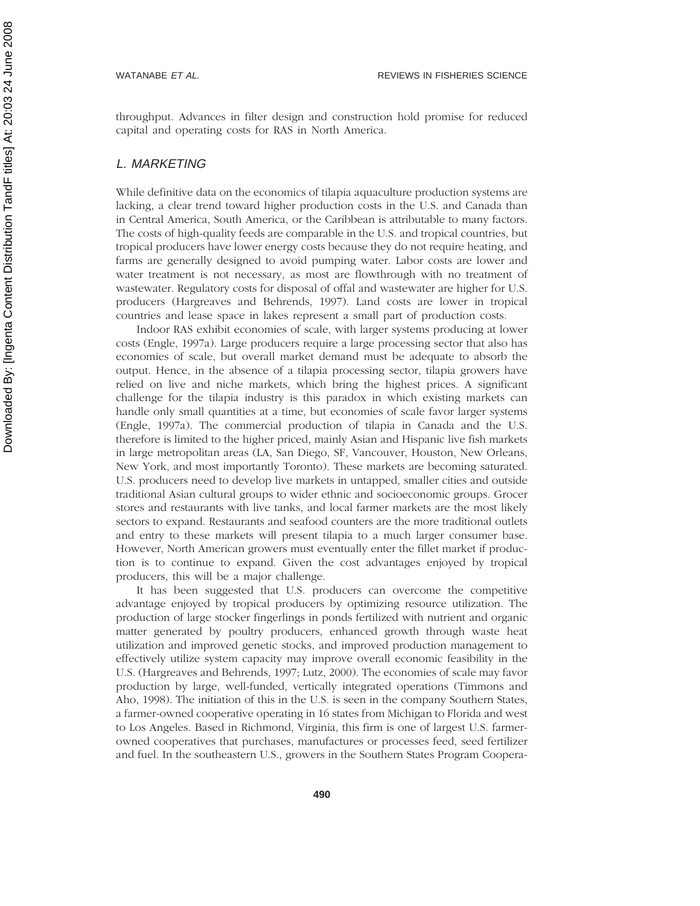throughput. Advances in filter design and construction hold promise for reduced capital and operating costs for RAS in North America.

#### L. MARKETING

While definitive data on the economics of tilapia aquaculture production systems are lacking, a clear trend toward higher production costs in the U.S. and Canada than in Central America, South America, or the Caribbean is attributable to many factors. The costs of high-quality feeds are comparable in the U.S. and tropical countries, but tropical producers have lower energy costs because they do not require heating, and farms are generally designed to avoid pumping water. Labor costs are lower and water treatment is not necessary, as most are flowthrough with no treatment of wastewater. Regulatory costs for disposal of offal and wastewater are higher for U.S. producers (Hargreaves and Behrends, 1997). Land costs are lower in tropical countries and lease space in lakes represent a small part of production costs.

Indoor RAS exhibit economies of scale, with larger systems producing at lower costs (Engle, 1997a). Large producers require a large processing sector that also has economies of scale, but overall market demand must be adequate to absorb the output. Hence, in the absence of a tilapia processing sector, tilapia growers have relied on live and niche markets, which bring the highest prices. A significant challenge for the tilapia industry is this paradox in which existing markets can handle only small quantities at a time, but economies of scale favor larger systems (Engle, 1997a). The commercial production of tilapia in Canada and the U.S. therefore is limited to the higher priced, mainly Asian and Hispanic live fish markets in large metropolitan areas (LA, San Diego, SF, Vancouver, Houston, New Orleans, New York, and most importantly Toronto). These markets are becoming saturated. U.S. producers need to develop live markets in untapped, smaller cities and outside traditional Asian cultural groups to wider ethnic and socioeconomic groups. Grocer stores and restaurants with live tanks, and local farmer markets are the most likely sectors to expand. Restaurants and seafood counters are the more traditional outlets and entry to these markets will present tilapia to a much larger consumer base. However, North American growers must eventually enter the fillet market if production is to continue to expand. Given the cost advantages enjoyed by tropical producers, this will be a major challenge.

It has been suggested that U.S. producers can overcome the competitive advantage enjoyed by tropical producers by optimizing resource utilization. The production of large stocker fingerlings in ponds fertilized with nutrient and organic matter generated by poultry producers, enhanced growth through waste heat utilization and improved genetic stocks, and improved production management to effectively utilize system capacity may improve overall economic feasibility in the U.S. (Hargreaves and Behrends, 1997; Lutz, 2000). The economies of scale may favor production by large, well-funded, vertically integrated operations (Timmons and Aho, 1998). The initiation of this in the U.S. is seen in the company Southern States, a farmer-owned cooperative operating in 16 states from Michigan to Florida and west to Los Angeles. Based in Richmond, Virginia, this firm is one of largest U.S. farmerowned cooperatives that purchases, manufactures or processes feed, seed fertilizer and fuel. In the southeastern U.S., growers in the Southern States Program Coopera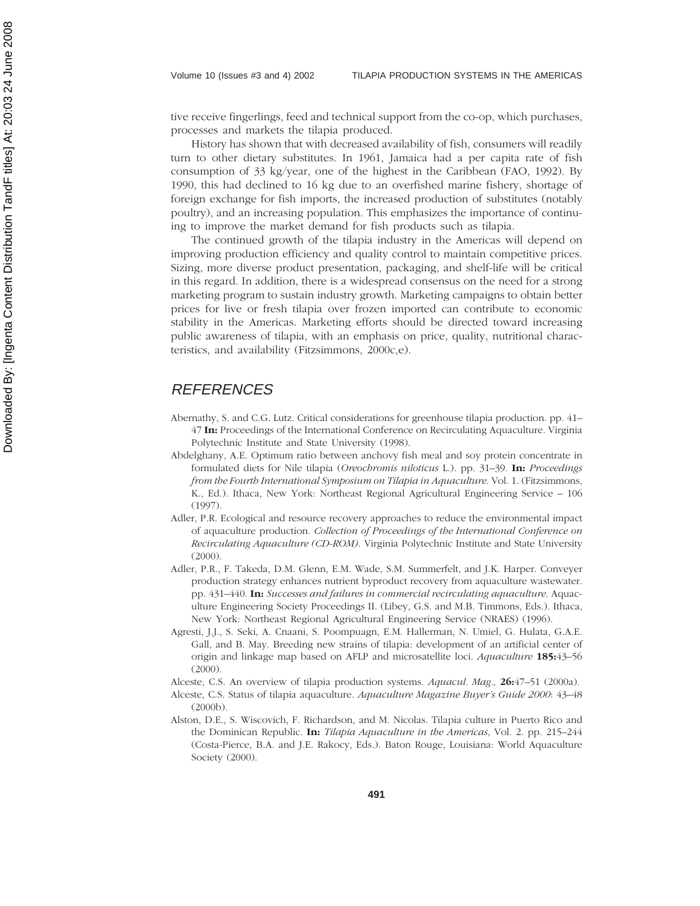tive receive fingerlings, feed and technical support from the co-op, which purchases, processes and markets the tilapia produced.

History has shown that with decreased availability of fish, consumers will readily turn to other dietary substitutes. In 1961, Jamaica had a per capita rate of fish consumption of 33 kg/year, one of the highest in the Caribbean (FAO, 1992). By 1990, this had declined to 16 kg due to an overfished marine fishery, shortage of foreign exchange for fish imports, the increased production of substitutes (notably poultry), and an increasing population. This emphasizes the importance of continuing to improve the market demand for fish products such as tilapia.

The continued growth of the tilapia industry in the Americas will depend on improving production efficiency and quality control to maintain competitive prices. Sizing, more diverse product presentation, packaging, and shelf-life will be critical in this regard. In addition, there is a widespread consensus on the need for a strong marketing program to sustain industry growth. Marketing campaigns to obtain better prices for live or fresh tilapia over frozen imported can contribute to economic stability in the Americas. Marketing efforts should be directed toward increasing public awareness of tilapia, with an emphasis on price, quality, nutritional characteristics, and availability (Fitzsimmons, 2000c,e).

# **REFERENCES**

- Abernathy, S. and C.G. Lutz. Critical considerations for greenhouse tilapia production. pp. 41– 47 **In:** Proceedings of the International Conference on Recirculating Aquaculture. Virginia Polytechnic Institute and State University (1998).
- Abdelghany, A.E. Optimum ratio between anchovy fish meal and soy protein concentrate in formulated diets for Nile tilapia (*Oreochromis niloticus* L.). pp. 31–39. **In:** *Proceedings from the Fourth International Symposium on Tilapia in Aquaculture*. Vol. 1. (Fitzsimmons, K., Ed.). Ithaca, New York: Northeast Regional Agricultural Engineering Service – 106  $(1997)$
- Adler, P.R. Ecological and resource recovery approaches to reduce the environmental impact of aquaculture production*. Collection of Proceedings of the International Conference on Recirculating Aquaculture (CD-ROM).* Virginia Polytechnic Institute and State University (2000).
- Adler, P.R., F. Takeda, D.M. Glenn, E.M. Wade, S.M. Summerfelt, and J.K. Harper. Conveyer production strategy enhances nutrient byproduct recovery from aquaculture wastewater. pp. 431–440. **In:** *Successes and failures in commercial recirculating aquaculture*. Aquaculture Engineering Society Proceedings II. (Libey, G.S. and M.B. Timmons, Eds.). Ithaca, New York: Northeast Regional Agricultural Engineering Service (NRAES) (1996).
- Agresti, J.J., S. Seki, A. Cnaani, S. Poompuagn, E.M. Hallerman, N. Umiel, G. Hulata, G.A.E. Gall, and B. May. Breeding new strains of tilapia: development of an artificial center of origin and linkage map based on AFLP and microsatellite loci. *Aquaculture* **185:**43–56 (2000).
- Alceste, C.S. An overview of tilapia production systems. *Aquacul. Mag.,* **26:**47–51 (2000a).
- Alceste, C.S. Status of tilapia aquaculture. *Aquaculture Magazine Buyer's Guide 2000*: 43–48 (2000b).
- Alston, D.E., S. Wiscovich, F. Richardson, and M. Nicolas. Tilapia culture in Puerto Rico and the Dominican Republic. **In:** *Tilapia Aquaculture in the Americas*, Vol. 2. pp. 215–244 (Costa-Pierce, B.A. and J.E. Rakocy, Eds.). Baton Rouge, Louisiana: World Aquaculture Society (2000).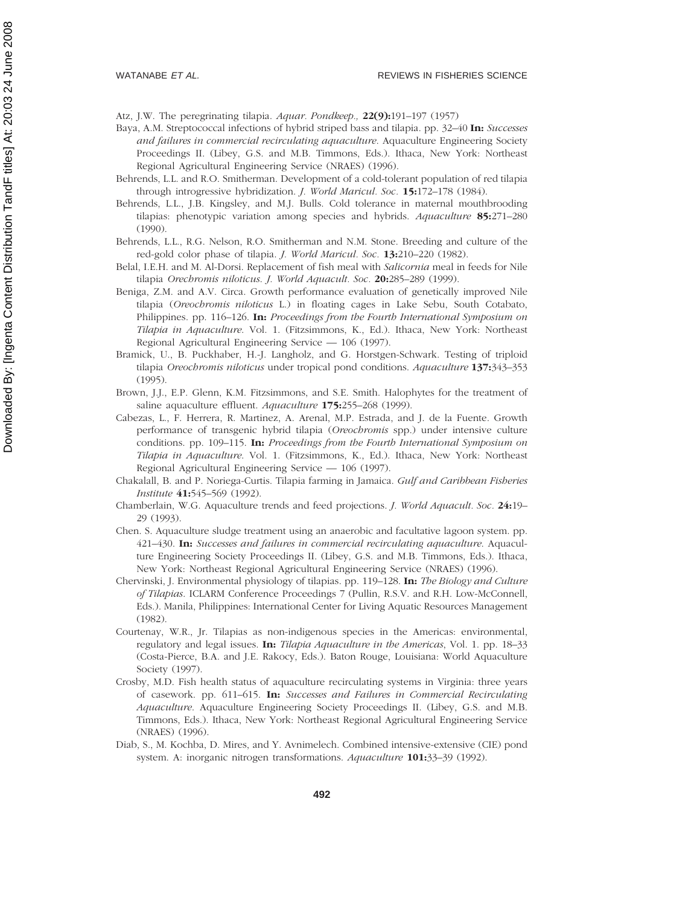Atz, J.W. The peregrinating tilapia. *Aquar. Pondkeep.,* **22(9):**191–197 (1957)

- Baya, A.M. Streptococcal infections of hybrid striped bass and tilapia. pp. 32–40 **In:** *Successes and failures in commercial recirculating aquaculture*. Aquaculture Engineering Society Proceedings II. (Libey, G.S. and M.B. Timmons, Eds.). Ithaca, New York: Northeast Regional Agricultural Engineering Service (NRAES) (1996).
- Behrends, L.L. and R.O. Smitherman. Development of a cold-tolerant population of red tilapia through introgressive hybridization. *J. World Maricul. Soc.* **15:**172–178 (1984).
- Behrends, L.L., J.B. Kingsley, and M.J. Bulls. Cold tolerance in maternal mouthbrooding tilapias: phenotypic variation among species and hybrids. *Aquaculture* **85:**271–280 (1990).
- Behrends, L.L., R.G. Nelson, R.O. Smitherman and N.M. Stone. Breeding and culture of the red-gold color phase of tilapia. *J. World Maricul. Soc.* **13:**210–220 (1982).
- Belal, I.E.H. and M. Al-Dorsi. Replacement of fish meal with *Salicornia* meal in feeds for Nile tilapia *Orechromis niloticus*. *J. World Aquacult. Soc.* **20:**285–289 (1999).
- Beniga, Z.M. and A.V. Circa. Growth performance evaluation of genetically improved Nile tilapia (*Oreochromis niloticus* L.) in floating cages in Lake Sebu, South Cotabato, Philippines. pp. 116–126. **In:** *Proceedings from the Fourth International Symposium on Tilapia in Aquaculture*. Vol. 1. (Fitzsimmons, K., Ed.). Ithaca, New York: Northeast Regional Agricultural Engineering Service — 106 (1997).
- Bramick, U., B. Puckhaber, H.-J. Langholz, and G. Horstgen-Schwark. Testing of triploid tilapia *Oreochromis niloticus* under tropical pond conditions. *Aquaculture* **137:**343–353 (1995).
- Brown, J.J., E.P. Glenn, K.M. Fitzsimmons, and S.E. Smith. Halophytes for the treatment of saline aquaculture effluent. *Aquaculture* **175:**255–268 (1999).
- Cabezas, L., F. Herrera, R. Martinez, A. Arenal, M.P. Estrada, and J. de la Fuente. Growth performance of transgenic hybrid tilapia (*Oreochromis* spp.) under intensive culture conditions. pp. 109–115. **In:** *Proceedings from the Fourth International Symposium on Tilapia in Aquaculture*. Vol. 1. (Fitzsimmons, K., Ed.). Ithaca, New York: Northeast Regional Agricultural Engineering Service — 106 (1997).
- Chakalall, B. and P. Noriega-Curtis. Tilapia farming in Jamaica. *Gulf and Caribbean Fisheries Institute* **41:**545–569 (1992).
- Chamberlain, W.G. Aquaculture trends and feed projections. *J. World Aquacult. Soc.* **24:**19– 29 (1993).
- Chen. S. Aquaculture sludge treatment using an anaerobic and facultative lagoon system. pp. 421–430. **In:** *Successes and failures in commercial recirculating aquaculture*. Aquaculture Engineering Society Proceedings II. (Libey, G.S. and M.B. Timmons, Eds.). Ithaca, New York: Northeast Regional Agricultural Engineering Service (NRAES) (1996).
- Chervinski, J. Environmental physiology of tilapias. pp. 119–128. **In:** *The Biology and Culture of Tilapias*. ICLARM Conference Proceedings 7 (Pullin, R.S.V. and R.H. Low-McConnell, Eds.). Manila, Philippines: International Center for Living Aquatic Resources Management (1982).
- Courtenay, W.R., Jr. Tilapias as non-indigenous species in the Americas: environmental, regulatory and legal issues. **In:** *Tilapia Aquaculture in the Americas*, Vol. 1. pp. 18–33 (Costa-Pierce, B.A. and J.E. Rakocy, Eds.). Baton Rouge, Louisiana: World Aquaculture Society (1997).
- Crosby, M.D. Fish health status of aquaculture recirculating systems in Virginia: three years of casework. pp. 611–615. **In:** *Successes and Failures in Commercial Recirculating Aquaculture*. Aquaculture Engineering Society Proceedings II. (Libey, G.S. and M.B. Timmons, Eds.). Ithaca, New York: Northeast Regional Agricultural Engineering Service (NRAES) (1996).
- Diab, S., M. Kochba, D. Mires, and Y. Avnimelech. Combined intensive-extensive (CIE) pond system. A: inorganic nitrogen transformations. *Aquaculture* **101:**33–39 (1992).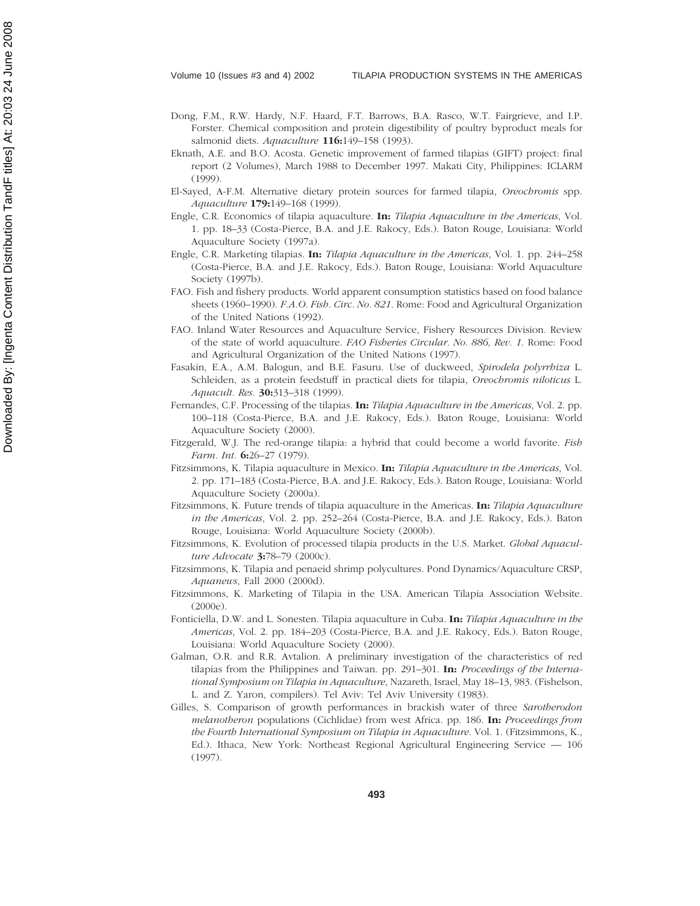- Dong, F.M., R.W. Hardy, N.F. Haard, F.T. Barrows, B.A. Rasco, W.T. Fairgrieve, and I.P. Forster. Chemical composition and protein digestibility of poultry byproduct meals for salmonid diets. *Aquaculture* **116:**149–158 (1993).
- Eknath, A.E. and B.O. Acosta. Genetic improvement of farmed tilapias (GIFT) project: final report (2 Volumes), March 1988 to December 1997. Makati City, Philippines: ICLARM (1999).
- El-Sayed, A-F.M. Alternative dietary protein sources for farmed tilapia, *Oreochromis* spp. *Aquaculture* **179:**149–168 (1999).
- Engle, C.R. Economics of tilapia aquaculture. **In:** *Tilapia Aquaculture in the Americas*, Vol. 1. pp. 18–33 (Costa-Pierce, B.A. and J.E. Rakocy, Eds.). Baton Rouge, Louisiana: World Aquaculture Society (1997a).
- Engle, C.R. Marketing tilapias. **In:** *Tilapia Aquaculture in the Americas*, Vol. 1. pp. 244–258 (Costa-Pierce, B.A. and J.E. Rakocy, Eds.). Baton Rouge, Louisiana: World Aquaculture Society (1997b).
- FAO. Fish and fishery products. World apparent consumption statistics based on food balance sheets (1960–1990). *F.A.O. Fish. Circ. No. 821*. Rome: Food and Agricultural Organization of the United Nations (1992).
- FAO. Inland Water Resources and Aquaculture Service, Fishery Resources Division. Review of the state of world aquaculture. *FAO Fisheries Circular. No. 886, Rev. 1*. Rome: Food and Agricultural Organization of the United Nations (1997).
- Fasakin, E.A., A.M. Balogun, and B.E. Fasuru. Use of duckweed, *Spirodela polyrrhiza* L. Schleiden, as a protein feedstuff in practical diets for tilapia, *Oreochromis niloticus* L. *Aquacult. Res.* **30:**313–318 (1999).
- Fernandes, C.F. Processing of the tilapias. **In:** *Tilapia Aquaculture in the Americas*, Vol. 2. pp. 100–118 (Costa-Pierce, B.A. and J.E. Rakocy, Eds.). Baton Rouge, Louisiana: World Aquaculture Society (2000).
- Fitzgerald, W.J. The red-orange tilapia: a hybrid that could become a world favorite. *Fish Farm. Int.* **6:**26–27 (1979).
- Fitzsimmons, K. Tilapia aquaculture in Mexico. **In:** *Tilapia Aquaculture in the Americas*, Vol. 2. pp. 171–183 (Costa-Pierce, B.A. and J.E. Rakocy, Eds.). Baton Rouge, Louisiana: World Aquaculture Society (2000a).
- Fitzsimmons, K. Future trends of tilapia aquaculture in the Americas. **In:** *Tilapia Aquaculture in the Americas*, Vol. 2. pp. 252–264 (Costa-Pierce, B.A. and J.E. Rakocy, Eds.). Baton Rouge, Louisiana: World Aquaculture Society (2000b).
- Fitzsimmons, K. Evolution of processed tilapia products in the U.S. Market. *Global Aquaculture Advocate* **3:**78–79 (2000c).
- Fitzsimmons, K. Tilapia and penaeid shrimp polycultures. Pond Dynamics/Aquaculture CRSP, *Aquanews*, Fall 2000 (2000d).
- Fitzsimmons, K. Marketing of Tilapia in the USA. American Tilapia Association Website. (2000e).
- Fonticiella, D.W. and L. Sonesten. Tilapia aquaculture in Cuba. **In:** *Tilapia Aquaculture in the Americas*, Vol. 2. pp. 184–203 (Costa-Pierce, B.A. and J.E. Rakocy, Eds.). Baton Rouge, Louisiana: World Aquaculture Society (2000).
- Galman, O.R. and R.R. Avtalion. A preliminary investigation of the characteristics of red tilapias from the Philippines and Taiwan. pp. 291–301. **In:** *Proceedings of the International Symposium on Tilapia in Aquaculture*, Nazareth, Israel, May 18–13, 983. (Fishelson, L. and Z. Yaron, compilers). Tel Aviv: Tel Aviv University (1983).
- Gilles, S. Comparison of growth performances in brackish water of three *Sarotherodon melanotheron* populations (Cichlidae) from west Africa. pp. 186. **In:** *Proceedings from the Fourth International Symposium on Tilapia in Aquaculture*. Vol. 1. (Fitzsimmons, K., Ed.). Ithaca, New York: Northeast Regional Agricultural Engineering Service — 106 (1997).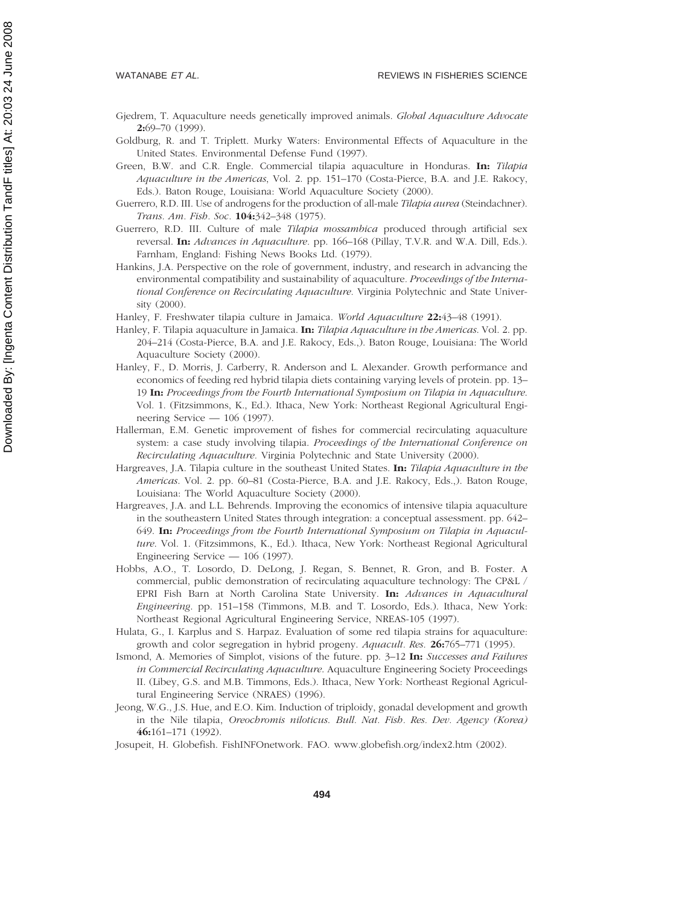- Gjedrem, T. Aquaculture needs genetically improved animals. *Global Aquaculture Advocate* **2:**69–70 (1999).
- Goldburg, R. and T. Triplett. Murky Waters: Environmental Effects of Aquaculture in the United States. Environmental Defense Fund (1997).
- Green, B.W. and C.R. Engle. Commercial tilapia aquaculture in Honduras. **In:** *Tilapia Aquaculture in the Americas*, Vol. 2. pp. 151–170 (Costa-Pierce, B.A. and J.E. Rakocy, Eds.). Baton Rouge, Louisiana: World Aquaculture Society (2000).
- Guerrero, R.D. III. Use of androgens for the production of all-male *Tilapia aurea* (Steindachner). *Trans. Am. Fish. Soc.* **104:**342–348 (1975).
- Guerrero, R.D. III. Culture of male *Tilapia mossambica* produced through artificial sex reversal. **In:** *Advances in Aquaculture.* pp. 166–168 (Pillay, T.V.R. and W.A. Dill, Eds.). Farnham, England: Fishing News Books Ltd. (1979).
- Hankins, J.A. Perspective on the role of government, industry, and research in advancing the environmental compatibility and sustainability of aquaculture*. Proceedings of the International Conference on Recirculating Aquaculture.* Virginia Polytechnic and State University (2000).
- Hanley, F. Freshwater tilapia culture in Jamaica. *World Aquaculture* **22:**43–48 (1991).
- Hanley, F. Tilapia aquaculture in Jamaica. **In:** *Tilapia Aquaculture in the Americas*. Vol. 2. pp. 204–214 (Costa-Pierce, B.A. and J.E. Rakocy, Eds.,). Baton Rouge, Louisiana: The World Aquaculture Society (2000).
- Hanley, F., D. Morris, J. Carberry, R. Anderson and L. Alexander. Growth performance and economics of feeding red hybrid tilapia diets containing varying levels of protein. pp. 13– 19 **In:** *Proceedings from the Fourth International Symposium on Tilapia in Aquaculture*. Vol. 1. (Fitzsimmons, K., Ed.). Ithaca, New York: Northeast Regional Agricultural Engineering Service — 106 (1997).
- Hallerman, E.M. Genetic improvement of fishes for commercial recirculating aquaculture system: a case study involving tilapia. *Proceedings of the International Conference on Recirculating Aquaculture.* Virginia Polytechnic and State University (2000).
- Hargreaves, J.A. Tilapia culture in the southeast United States. **In:** *Tilapia Aquaculture in the Americas*. Vol. 2. pp. 60–81 (Costa-Pierce, B.A. and J.E. Rakocy, Eds.,). Baton Rouge, Louisiana: The World Aquaculture Society (2000).
- Hargreaves, J.A. and L.L. Behrends. Improving the economics of intensive tilapia aquaculture in the southeastern United States through integration: a conceptual assessment. pp. 642– 649. **In:** *Proceedings from the Fourth International Symposium on Tilapia in Aquaculture*. Vol. 1. (Fitzsimmons, K., Ed.). Ithaca, New York: Northeast Regional Agricultural Engineering Service — 106 (1997).
- Hobbs, A.O., T. Losordo, D. DeLong, J. Regan, S. Bennet, R. Gron, and B. Foster. A commercial, public demonstration of recirculating aquaculture technology: The CP&L / EPRI Fish Barn at North Carolina State University. **In:** *Advances in Aquacultural Engineering*. pp. 151–158 (Timmons, M.B. and T. Losordo, Eds.). Ithaca, New York: Northeast Regional Agricultural Engineering Service, NREAS-105 (1997).
- Hulata, G., I. Karplus and S. Harpaz. Evaluation of some red tilapia strains for aquaculture: growth and color segregation in hybrid progeny. *Aquacult. Res.* **26:**765–771 (1995).
- Ismond, A. Memories of Simplot, visions of the future. pp. 3–12 **In:** *Successes and Failures in Commercial Recirculating Aquaculture*. Aquaculture Engineering Society Proceedings II. (Libey, G.S. and M.B. Timmons, Eds.). Ithaca, New York: Northeast Regional Agricultural Engineering Service (NRAES) (1996).
- Jeong, W.G., J.S. Hue, and E.O. Kim. Induction of triploidy, gonadal development and growth in the Nile tilapia, *Oreochromis niloticus*. *Bull. Nat. Fish. Res. Dev. Agency (Korea)* **46:**161–171 (1992).
- Josupeit, H. Globefish. FishINFOnetwork. FAO. www.globefish.org/index2.htm (2002).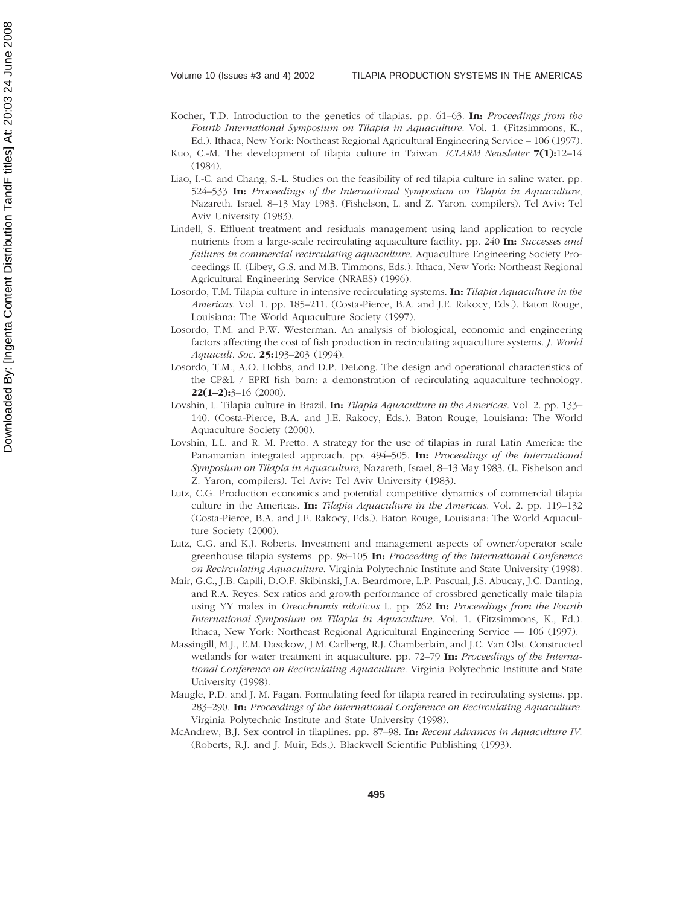- Kocher, T.D. Introduction to the genetics of tilapias. pp. 61–63. **In:** *Proceedings from the Fourth International Symposium on Tilapia in Aquaculture*. Vol. 1. (Fitzsimmons, K., Ed.). Ithaca, New York: Northeast Regional Agricultural Engineering Service – 106 (1997).
- Kuo, C.-M. The development of tilapia culture in Taiwan. *ICLARM Newsletter* **7(1):**12–14 (1984).
- Liao, I.-C. and Chang, S.-L. Studies on the feasibility of red tilapia culture in saline water. pp. 524–533 **In:** *Proceedings of the International Symposium on Tilapia in Aquaculture*, Nazareth, Israel, 8–13 May 1983. (Fishelson, L. and Z. Yaron, compilers). Tel Aviv: Tel Aviv University (1983).
- Lindell, S. Effluent treatment and residuals management using land application to recycle nutrients from a large-scale recirculating aquaculture facility. pp. 240 **In:** *Successes and failures in commercial recirculating aquaculture*. Aquaculture Engineering Society Proceedings II. (Libey, G.S. and M.B. Timmons, Eds.). Ithaca, New York: Northeast Regional Agricultural Engineering Service (NRAES) (1996).
- Losordo, T.M. Tilapia culture in intensive recirculating systems. **In:** *Tilapia Aquaculture in the Americas*. Vol. 1. pp. 185–211. (Costa-Pierce, B.A. and J.E. Rakocy, Eds.). Baton Rouge, Louisiana: The World Aquaculture Society (1997).
- Losordo, T.M. and P.W. Westerman. An analysis of biological, economic and engineering factors affecting the cost of fish production in recirculating aquaculture systems. *J. World Aquacult. Soc.* **25:**193–203 (1994).
- Losordo, T.M., A.O. Hobbs, and D.P. DeLong. The design and operational characteristics of the CP&L / EPRI fish barn: a demonstration of recirculating aquaculture technology. **22(1–2):**3–16 (2000).
- Lovshin, L. Tilapia culture in Brazil. **In:** *Tilapia Aquaculture in the Americas*. Vol. 2. pp. 133– 140. (Costa-Pierce, B.A. and J.E. Rakocy, Eds.). Baton Rouge, Louisiana: The World Aquaculture Society (2000).
- Lovshin, L.L. and R. M. Pretto. A strategy for the use of tilapias in rural Latin America: the Panamanian integrated approach. pp. 494–505. **In:** *Proceedings of the International Symposium on Tilapia in Aquaculture*, Nazareth, Israel, 8–13 May 1983. (L. Fishelson and Z. Yaron, compilers). Tel Aviv: Tel Aviv University (1983).
- Lutz, C.G. Production economics and potential competitive dynamics of commercial tilapia culture in the Americas. **In:** *Tilapia Aquaculture in the Americas*. Vol. 2. pp. 119–132 (Costa-Pierce, B.A. and J.E. Rakocy, Eds.). Baton Rouge, Louisiana: The World Aquaculture Society (2000).
- Lutz, C.G. and K.J. Roberts. Investment and management aspects of owner/operator scale greenhouse tilapia systems. pp. 98–105 **In:** *Proceeding of the International Conference on Recirculating Aquaculture*. Virginia Polytechnic Institute and State University (1998).
- Mair, G.C., J.B. Capili, D.O.F. Skibinski, J.A. Beardmore, L.P. Pascual, J.S. Abucay, J.C. Danting, and R.A. Reyes. Sex ratios and growth performance of crossbred genetically male tilapia using YY males in *Oreochromis niloticus* L. pp. 262 **In:** *Proceedings from the Fourth International Symposium on Tilapia in Aquaculture*. Vol. 1. (Fitzsimmons, K., Ed.). Ithaca, New York: Northeast Regional Agricultural Engineering Service — 106 (1997).
- Massingill, M.J., E.M. Dasckow, J.M. Carlberg, R.J. Chamberlain, and J.C. Van Olst. Constructed wetlands for water treatment in aquaculture. pp. 72–79 **In:** *Proceedings of the International Conference on Recirculating Aquaculture*. Virginia Polytechnic Institute and State University (1998).
- Maugle, P.D. and J. M. Fagan. Formulating feed for tilapia reared in recirculating systems. pp. 283–290. **In:** *Proceedings of the International Conference on Recirculating Aquaculture*. Virginia Polytechnic Institute and State University (1998).
- McAndrew, B.J. Sex control in tilapiines. pp. 87–98. **In:** *Recent Advances in Aquaculture IV*. (Roberts, R.J. and J. Muir, Eds.). Blackwell Scientific Publishing (1993).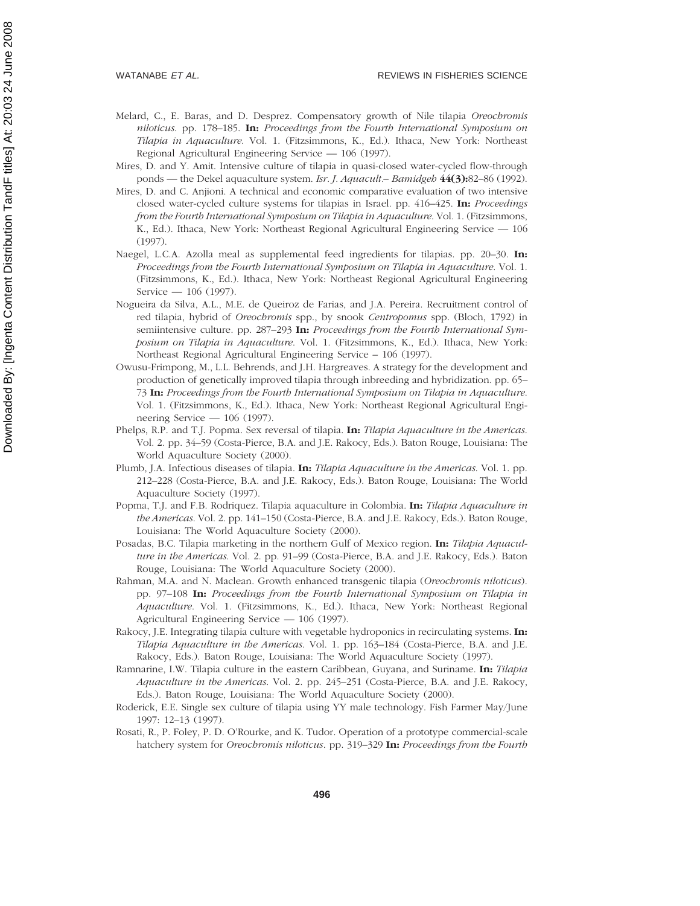- Melard, C., E. Baras, and D. Desprez. Compensatory growth of Nile tilapia *Oreochromis niloticus*. pp. 178–185. **In:** *Proceedings from the Fourth International Symposium on Tilapia in Aquaculture*. Vol. 1. (Fitzsimmons, K., Ed.). Ithaca, New York: Northeast Regional Agricultural Engineering Service — 106 (1997).
- Mires, D. and Y. Amit. Intensive culture of tilapia in quasi-closed water-cycled flow-through ponds — the Dekel aquaculture system. *Isr. J. Aquacult.– Bamidgeh* **44(3):**82–86 (1992).
- Mires, D. and C. Anjioni. A technical and economic comparative evaluation of two intensive closed water-cycled culture systems for tilapias in Israel. pp. 416–425. **In:** *Proceedings from the Fourth International Symposium on Tilapia in Aquaculture*. Vol. 1. (Fitzsimmons, K., Ed.). Ithaca, New York: Northeast Regional Agricultural Engineering Service — 106 (1997).
- Naegel, L.C.A. Azolla meal as supplemental feed ingredients for tilapias. pp. 20–30. **In:** *Proceedings from the Fourth International Symposium on Tilapia in Aquaculture*. Vol. 1. (Fitzsimmons, K., Ed.). Ithaca, New York: Northeast Regional Agricultural Engineering Service — 106 (1997).
- Nogueira da Silva, A.L., M.E. de Queiroz de Farias, and J.A. Pereira. Recruitment control of red tilapia, hybrid of *Oreochromis* spp., by snook *Centropomus* spp. (Bloch, 1792) in semiintensive culture. pp. 287–293 **In:** *Proceedings from the Fourth International Symposium on Tilapia in Aquaculture*. Vol. 1. (Fitzsimmons, K., Ed.). Ithaca, New York: Northeast Regional Agricultural Engineering Service – 106 (1997).
- Owusu-Frimpong, M., L.L. Behrends, and J.H. Hargreaves. A strategy for the development and production of genetically improved tilapia through inbreeding and hybridization. pp. 65– 73 **In:** *Proceedings from the Fourth International Symposium on Tilapia in Aquaculture*. Vol. 1. (Fitzsimmons, K., Ed.). Ithaca, New York: Northeast Regional Agricultural Engineering Service — 106 (1997).
- Phelps, R.P. and T.J. Popma. Sex reversal of tilapia. **In:** *Tilapia Aquaculture in the Americas*. Vol. 2. pp. 34–59 (Costa-Pierce, B.A. and J.E. Rakocy, Eds.). Baton Rouge, Louisiana: The World Aquaculture Society (2000).
- Plumb, J.A. Infectious diseases of tilapia. **In:** *Tilapia Aquaculture in the Americas*. Vol. 1. pp. 212–228 (Costa-Pierce, B.A. and J.E. Rakocy, Eds.). Baton Rouge, Louisiana: The World Aquaculture Society (1997).
- Popma, T.J. and F.B. Rodriquez. Tilapia aquaculture in Colombia. **In:** *Tilapia Aquaculture in the Americas*. Vol. 2. pp. 141–150 (Costa-Pierce, B.A. and J.E. Rakocy, Eds.). Baton Rouge, Louisiana: The World Aquaculture Society (2000).
- Posadas, B.C. Tilapia marketing in the northern Gulf of Mexico region. **In:** *Tilapia Aquaculture in the Americas*. Vol. 2. pp. 91–99 (Costa-Pierce, B.A. and J.E. Rakocy, Eds.). Baton Rouge, Louisiana: The World Aquaculture Society (2000).
- Rahman, M.A. and N. Maclean. Growth enhanced transgenic tilapia (*Oreochromis niloticus*). pp. 97–108 **In:** *Proceedings from the Fourth International Symposium on Tilapia in Aquaculture*. Vol. 1. (Fitzsimmons, K., Ed.). Ithaca, New York: Northeast Regional Agricultural Engineering Service — 106 (1997).
- Rakocy, J.E. Integrating tilapia culture with vegetable hydroponics in recirculating systems. **In:** *Tilapia Aquaculture in the Americas*. Vol. 1. pp. 163–184 (Costa-Pierce, B.A. and J.E. Rakocy, Eds.). Baton Rouge, Louisiana: The World Aquaculture Society (1997).
- Ramnarine, I.W. Tilapia culture in the eastern Caribbean, Guyana, and Suriname. **In:** *Tilapia Aquaculture in the Americas*. Vol. 2. pp. 245–251 (Costa-Pierce, B.A. and J.E. Rakocy, Eds.). Baton Rouge, Louisiana: The World Aquaculture Society (2000).
- Roderick, E.E. Single sex culture of tilapia using YY male technology. Fish Farmer May/June 1997: 12–13 (1997).
- Rosati, R., P. Foley, P. D. O'Rourke, and K. Tudor. Operation of a prototype commercial-scale hatchery system for *Oreochromis niloticus*. pp. 319–329 **In:** *Proceedings from the Fourth*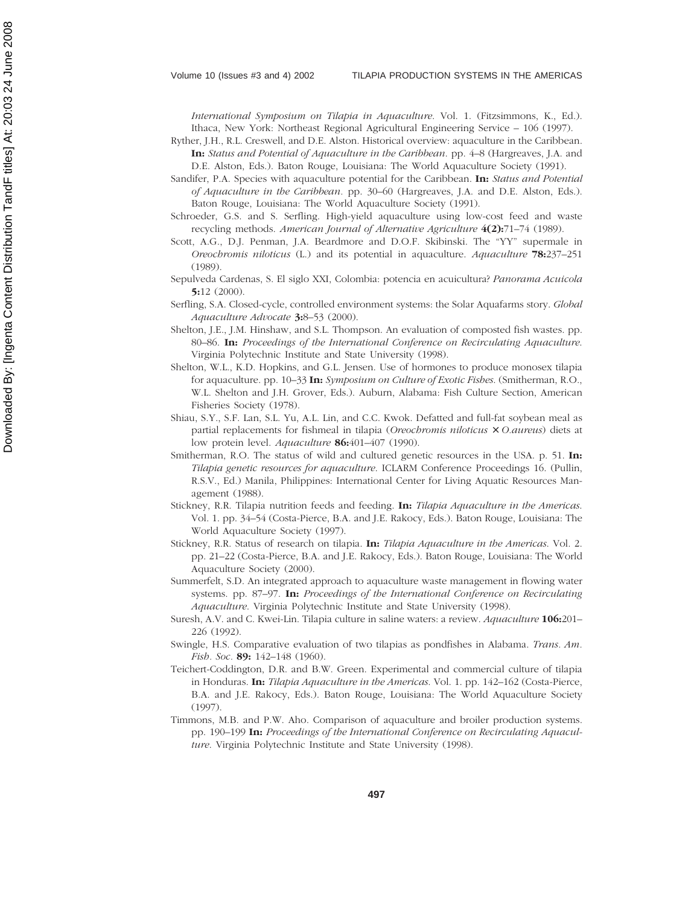*International Symposium on Tilapia in Aquaculture*. Vol. 1. (Fitzsimmons, K., Ed.). Ithaca, New York: Northeast Regional Agricultural Engineering Service – 106 (1997).

- Ryther, J.H., R.L. Creswell, and D.E. Alston. Historical overview: aquaculture in the Caribbean. **In:** *Status and Potential of Aquaculture in the Caribbean*. pp. 4–8 (Hargreaves, J.A. and D.E. Alston, Eds.). Baton Rouge, Louisiana: The World Aquaculture Society (1991).
- Sandifer, P.A. Species with aquaculture potential for the Caribbean. **In:** *Status and Potential of Aquaculture in the Caribbean.* pp. 30–60 (Hargreaves, J.A. and D.E. Alston, Eds.). Baton Rouge, Louisiana: The World Aquaculture Society (1991).
- Schroeder, G.S. and S. Serfling. High-yield aquaculture using low-cost feed and waste recycling methods. *American Journal of Alternative Agriculture* **4(2):**71–74 (1989).
- Scott, A.G., D.J. Penman, J.A. Beardmore and D.O.F. Skibinski. The "YY" supermale in *Oreochromis niloticus* (L.) and its potential in aquaculture. *Aquaculture* **78:**237–251 (1989).
- Sepulveda Cardenas, S. El siglo XXI, Colombia: potencia en acuicultura? *Panorama Acuicola* **5:**12 (2000).
- Serfling, S.A. Closed-cycle, controlled environment systems: the Solar Aquafarms story. *Global Aquaculture Advocate* **3:**8–53 (2000).
- Shelton, J.E., J.M. Hinshaw, and S.L. Thompson. An evaluation of composted fish wastes. pp. 80–86. **In:** *Proceedings of the International Conference on Recirculating Aquaculture*. Virginia Polytechnic Institute and State University (1998).
- Shelton, W.L., K.D. Hopkins, and G.L. Jensen. Use of hormones to produce monosex tilapia for aquaculture. pp. 10–33 **In:** *Symposium on Culture of Exotic Fishes*. (Smitherman, R.O., W.L. Shelton and J.H. Grover, Eds.). Auburn, Alabama: Fish Culture Section, American Fisheries Society (1978).
- Shiau, S.Y., S.F. Lan, S.L. Yu, A.L. Lin, and C.C. Kwok. Defatted and full-fat soybean meal as partial replacements for fishmeal in tilapia (*Oreochromis niloticus* × *O.aureus*) diets at low protein level. *Aquaculture* **86:**401–407 (1990).
- Smitherman, R.O. The status of wild and cultured genetic resources in the USA. p. 51. **In:** *Tilapia genetic resources for aquaculture*. ICLARM Conference Proceedings 16. (Pullin, R.S.V., Ed.) Manila, Philippines: International Center for Living Aquatic Resources Management (1988).
- Stickney, R.R. Tilapia nutrition feeds and feeding. **In:** *Tilapia Aquaculture in the Americas*. Vol. 1. pp. 34–54 (Costa-Pierce, B.A. and J.E. Rakocy, Eds.). Baton Rouge, Louisiana: The World Aquaculture Society (1997).
- Stickney, R.R. Status of research on tilapia. **In:** *Tilapia Aquaculture in the Americas*. Vol. 2. pp. 21–22 (Costa-Pierce, B.A. and J.E. Rakocy, Eds.). Baton Rouge, Louisiana: The World Aquaculture Society (2000).
- Summerfelt, S.D. An integrated approach to aquaculture waste management in flowing water systems. pp. 87–97. **In:** *Proceedings of the International Conference on Recirculating Aquaculture*. Virginia Polytechnic Institute and State University (1998).
- Suresh, A.V. and C. Kwei-Lin. Tilapia culture in saline waters: a review. *Aquaculture* **106:**201– 226 (1992).
- Swingle, H.S. Comparative evaluation of two tilapias as pondfishes in Alabama. *Trans. Am. Fish. Soc.* **89:** 142–148 (1960).
- Teichert-Coddington, D.R. and B.W. Green. Experimental and commercial culture of tilapia in Honduras. **In:** *Tilapia Aquaculture in the Americas*. Vol. 1. pp. 142–162 (Costa-Pierce, B.A. and J.E. Rakocy, Eds.). Baton Rouge, Louisiana: The World Aquaculture Society (1997).
- Timmons, M.B. and P.W. Aho. Comparison of aquaculture and broiler production systems. pp. 190–199 **In:** *Proceedings of the International Conference on Recirculating Aquaculture*. Virginia Polytechnic Institute and State University (1998).